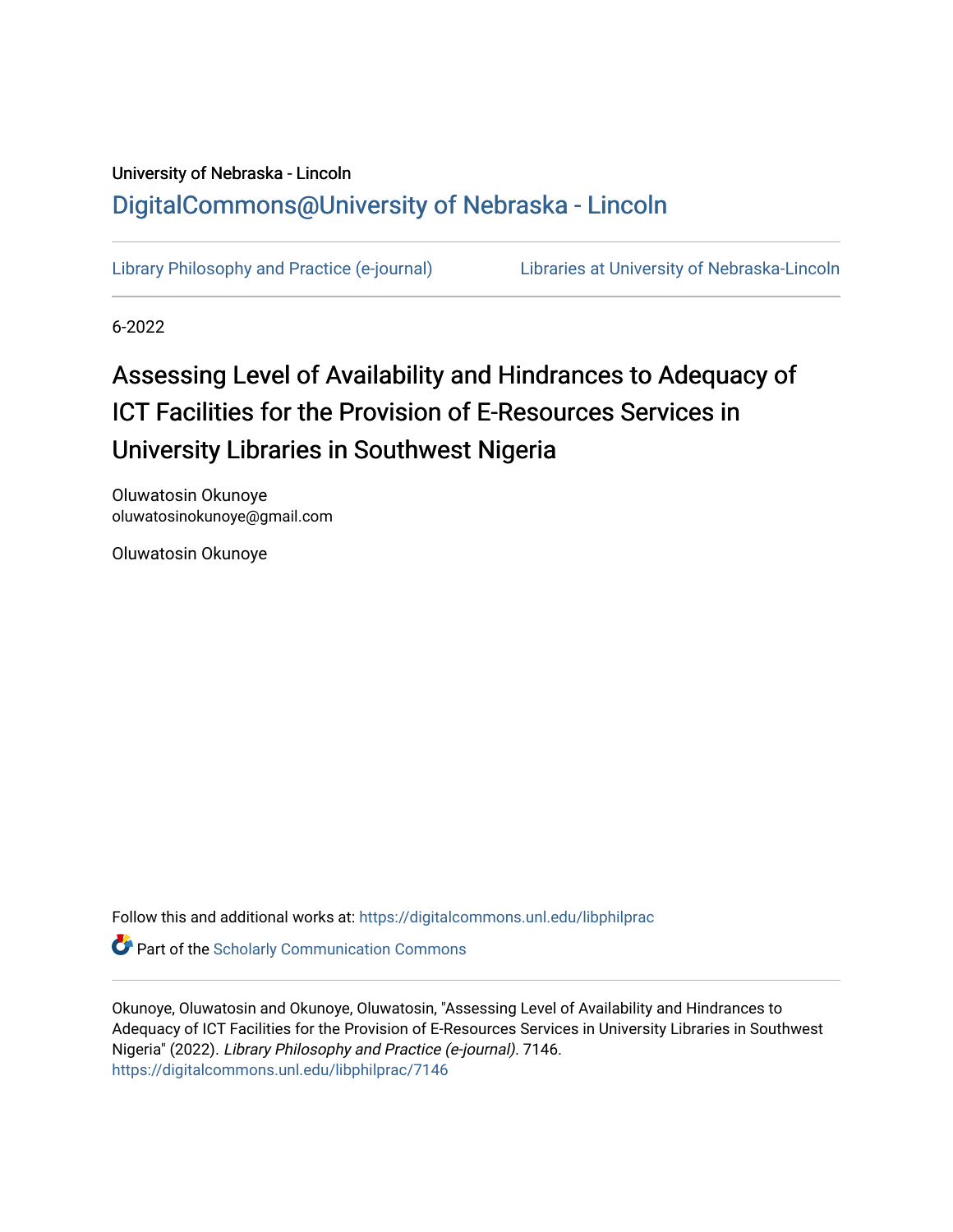# University of Nebraska - Lincoln [DigitalCommons@University of Nebraska - Lincoln](https://digitalcommons.unl.edu/)

[Library Philosophy and Practice \(e-journal\)](https://digitalcommons.unl.edu/libphilprac) [Libraries at University of Nebraska-Lincoln](https://digitalcommons.unl.edu/libraries) 

6-2022

# Assessing Level of Availability and Hindrances to Adequacy of ICT Facilities for the Provision of E-Resources Services in University Libraries in Southwest Nigeria

Oluwatosin Okunoye oluwatosinokunoye@gmail.com

Oluwatosin Okunoye

Follow this and additional works at: [https://digitalcommons.unl.edu/libphilprac](https://digitalcommons.unl.edu/libphilprac?utm_source=digitalcommons.unl.edu%2Flibphilprac%2F7146&utm_medium=PDF&utm_campaign=PDFCoverPages) 

**Part of the Scholarly Communication Commons** 

Okunoye, Oluwatosin and Okunoye, Oluwatosin, "Assessing Level of Availability and Hindrances to Adequacy of ICT Facilities for the Provision of E-Resources Services in University Libraries in Southwest Nigeria" (2022). Library Philosophy and Practice (e-journal). 7146. [https://digitalcommons.unl.edu/libphilprac/7146](https://digitalcommons.unl.edu/libphilprac/7146?utm_source=digitalcommons.unl.edu%2Flibphilprac%2F7146&utm_medium=PDF&utm_campaign=PDFCoverPages)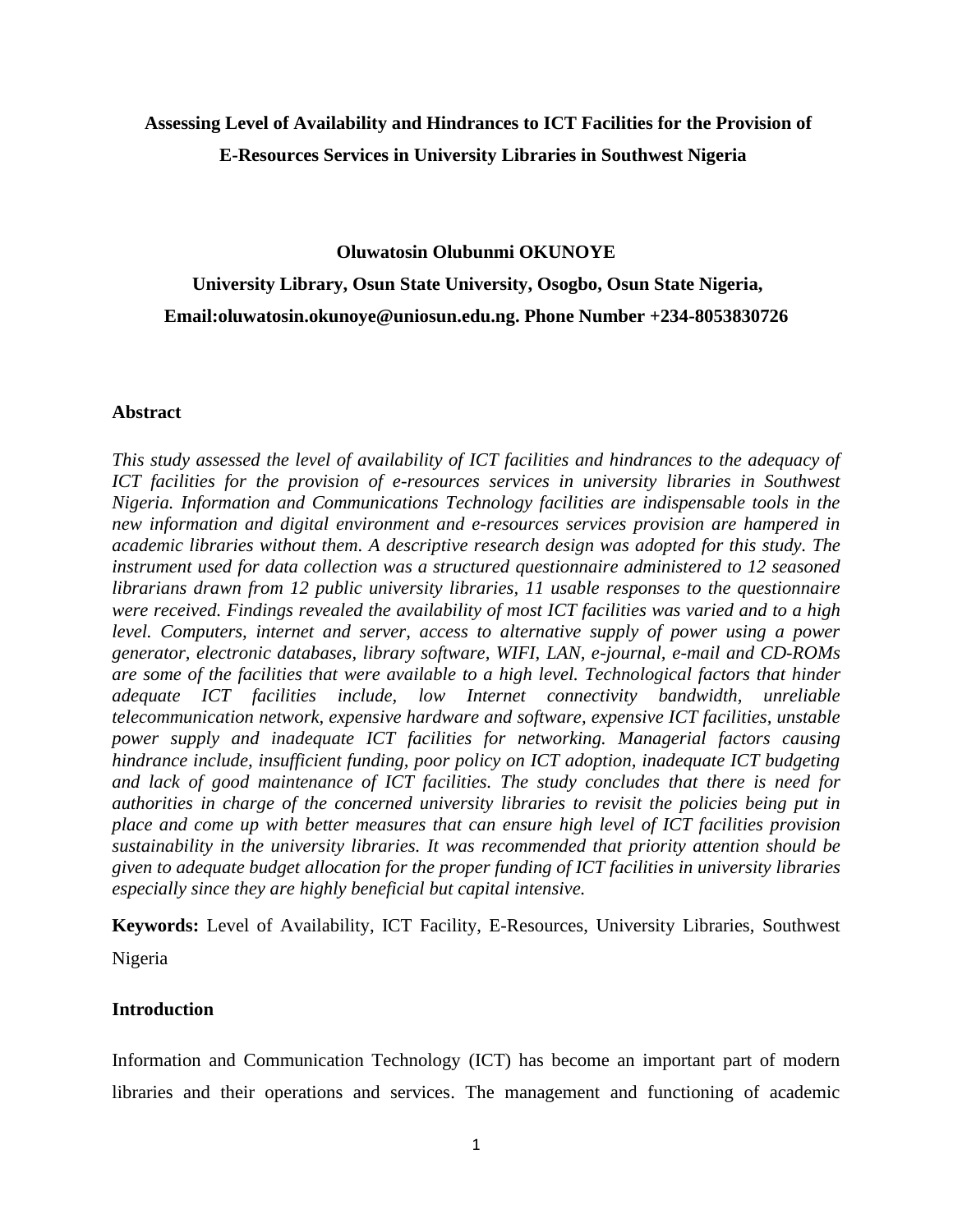## **Assessing Level of Availability and Hindrances to ICT Facilities for the Provision of E-Resources Services in University Libraries in Southwest Nigeria**

**Oluwatosin Olubunmi OKUNOYE** 

**University Library, Osun State University, Osogbo, Osun State Nigeria, Email:oluwatosin.okunoye@uniosun.edu.ng. Phone Number +234-8053830726**

### **Abstract**

*This study assessed the level of availability of ICT facilities and hindrances to the adequacy of ICT facilities for the provision of e-resources services in university libraries in Southwest Nigeria. Information and Communications Technology facilities are indispensable tools in the new information and digital environment and e-resources services provision are hampered in academic libraries without them. A descriptive research design was adopted for this study. The instrument used for data collection was a structured questionnaire administered to 12 seasoned librarians drawn from 12 public university libraries, 11 usable responses to the questionnaire were received. Findings revealed the availability of most ICT facilities was varied and to a high level. Computers, internet and server, access to alternative supply of power using a power generator, electronic databases, library software, WIFI, LAN, e-journal, e-mail and CD-ROMs are some of the facilities that were available to a high level. Technological factors that hinder adequate ICT facilities include, low Internet connectivity bandwidth, unreliable telecommunication network, expensive hardware and software, expensive ICT facilities, unstable power supply and inadequate ICT facilities for networking. Managerial factors causing hindrance include, insufficient funding, poor policy on ICT adoption, inadequate ICT budgeting and lack of good maintenance of ICT facilities. The study concludes that there is need for authorities in charge of the concerned university libraries to revisit the policies being put in place and come up with better measures that can ensure high level of ICT facilities provision sustainability in the university libraries. It was recommended that priority attention should be given to adequate budget allocation for the proper funding of ICT facilities in university libraries especially since they are highly beneficial but capital intensive.*

**Keywords:** Level of Availability, ICT Facility, E-Resources, University Libraries, Southwest Nigeria

### **Introduction**

Information and Communication Technology (ICT) has become an important part of modern libraries and their operations and services. The management and functioning of academic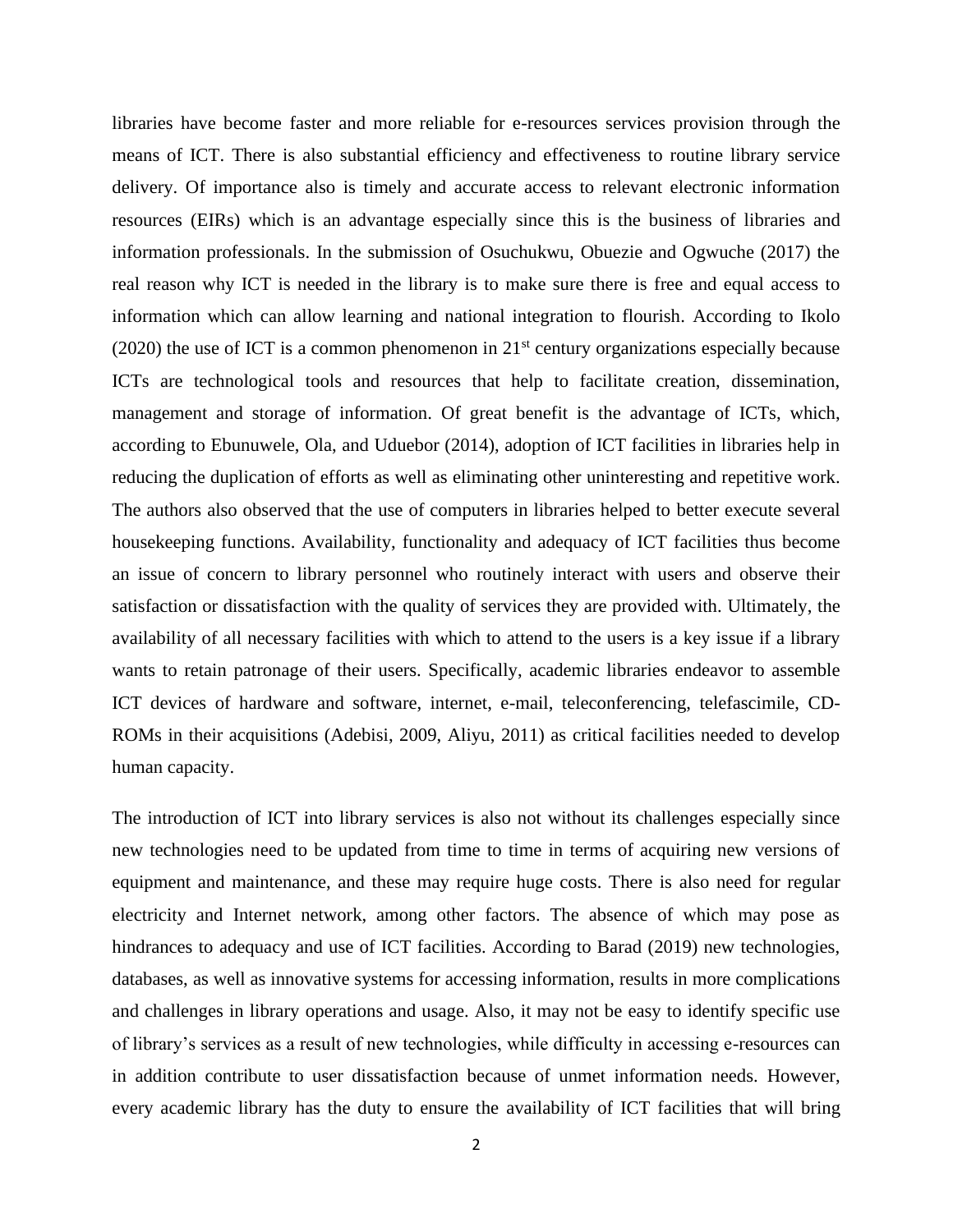libraries have become faster and more reliable for e-resources services provision through the means of ICT. There is also substantial efficiency and effectiveness to routine library service delivery. Of importance also is timely and accurate access to relevant electronic information resources (EIRs) which is an advantage especially since this is the business of libraries and information professionals. In the submission of Osuchukwu, Obuezie and Ogwuche (2017) the real reason why ICT is needed in the library is to make sure there is free and equal access to information which can allow learning and national integration to flourish. According to Ikolo (2020) the use of ICT is a common phenomenon in  $21<sup>st</sup>$  century organizations especially because ICTs are technological tools and resources that help to facilitate creation, dissemination, management and storage of information. Of great benefit is the advantage of ICTs, which, according to Ebunuwele, Ola, and Uduebor (2014), adoption of ICT facilities in libraries help in reducing the duplication of efforts as well as eliminating other uninteresting and repetitive work. The authors also observed that the use of computers in libraries helped to better execute several housekeeping functions. Availability, functionality and adequacy of ICT facilities thus become an issue of concern to library personnel who routinely interact with users and observe their satisfaction or dissatisfaction with the quality of services they are provided with. Ultimately, the availability of all necessary facilities with which to attend to the users is a key issue if a library wants to retain patronage of their users. Specifically, academic libraries endeavor to assemble ICT devices of hardware and software, internet, e-mail, teleconferencing, telefascimile, CD-ROMs in their acquisitions (Adebisi, 2009, Aliyu, 2011) as critical facilities needed to develop human capacity.

The introduction of ICT into library services is also not without its challenges especially since new technologies need to be updated from time to time in terms of acquiring new versions of equipment and maintenance, and these may require huge costs. There is also need for regular electricity and Internet network, among other factors. The absence of which may pose as hindrances to adequacy and use of ICT facilities. According to Barad (2019) new technologies, databases, as well as innovative systems for accessing information, results in more complications and challenges in library operations and usage. Also, it may not be easy to identify specific use of library's services as a result of new technologies, while difficulty in accessing e-resources can in addition contribute to user dissatisfaction because of unmet information needs. However, every academic library has the duty to ensure the availability of ICT facilities that will bring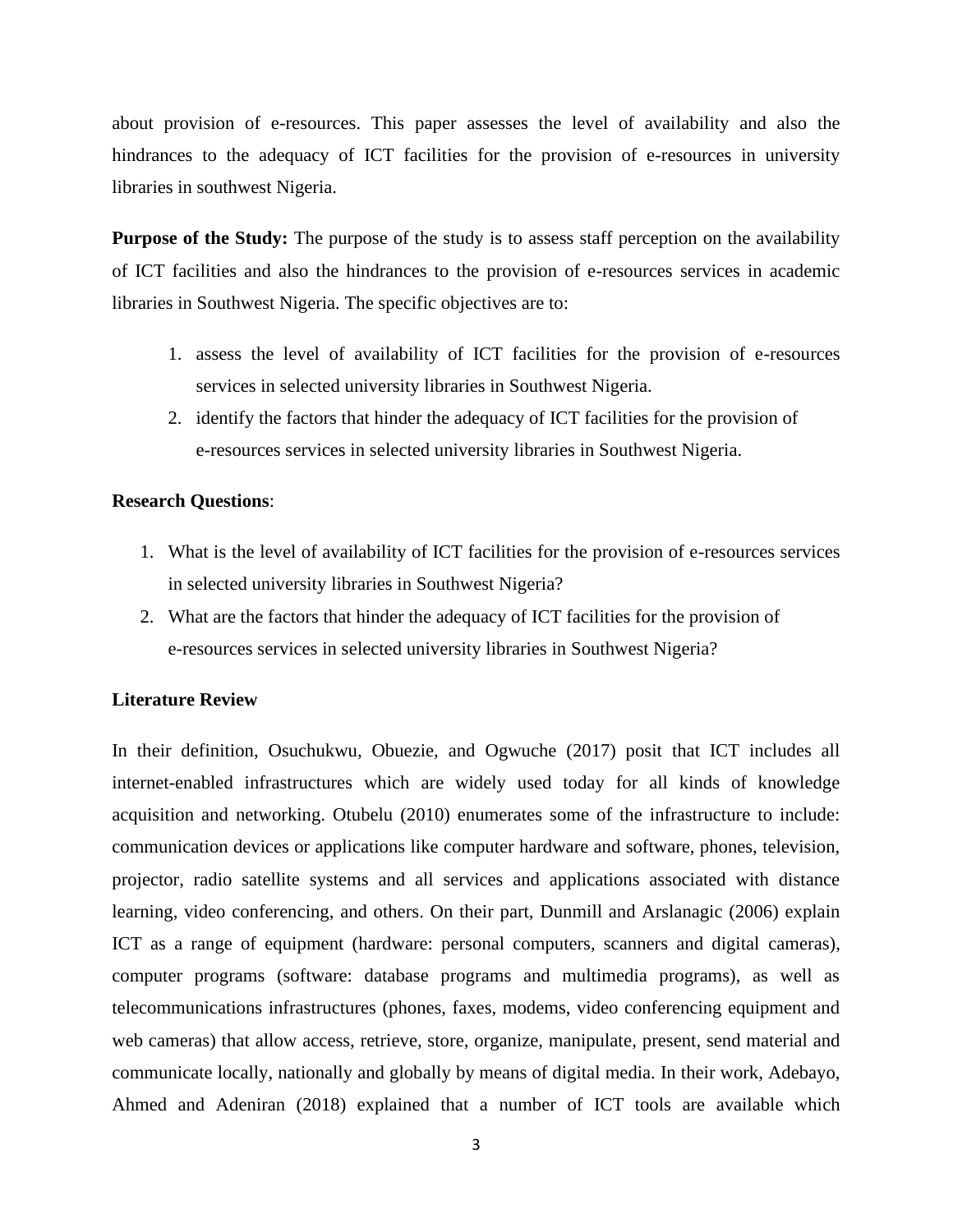about provision of e-resources. This paper assesses the level of availability and also the hindrances to the adequacy of ICT facilities for the provision of e-resources in university libraries in southwest Nigeria.

**Purpose of the Study:** The purpose of the study is to assess staff perception on the availability of ICT facilities and also the hindrances to the provision of e-resources services in academic libraries in Southwest Nigeria. The specific objectives are to:

- 1. assess the level of availability of ICT facilities for the provision of e-resources services in selected university libraries in Southwest Nigeria.
- 2. identify the factors that hinder the adequacy of ICT facilities for the provision of e-resources services in selected university libraries in Southwest Nigeria.

### **Research Questions**:

- 1. What is the level of availability of ICT facilities for the provision of e-resources services in selected university libraries in Southwest Nigeria?
- 2. What are the factors that hinder the adequacy of ICT facilities for the provision of e-resources services in selected university libraries in Southwest Nigeria?

### **Literature Review**

In their definition, Osuchukwu, Obuezie, and Ogwuche (2017) posit that ICT includes all internet-enabled infrastructures which are widely used today for all kinds of knowledge acquisition and networking. Otubelu (2010) enumerates some of the infrastructure to include: communication devices or applications like computer hardware and software, phones, television, projector, radio satellite systems and all services and applications associated with distance learning, video conferencing, and others. On their part, Dunmill and Arslanagic (2006) explain ICT as a range of equipment (hardware: personal computers, scanners and digital cameras), computer programs (software: database programs and multimedia programs), as well as telecommunications infrastructures (phones, faxes, modems, video conferencing equipment and web cameras) that allow access, retrieve, store, organize, manipulate, present, send material and communicate locally, nationally and globally by means of digital media. In their work, Adebayo, Ahmed and Adeniran (2018) explained that a number of ICT tools are available which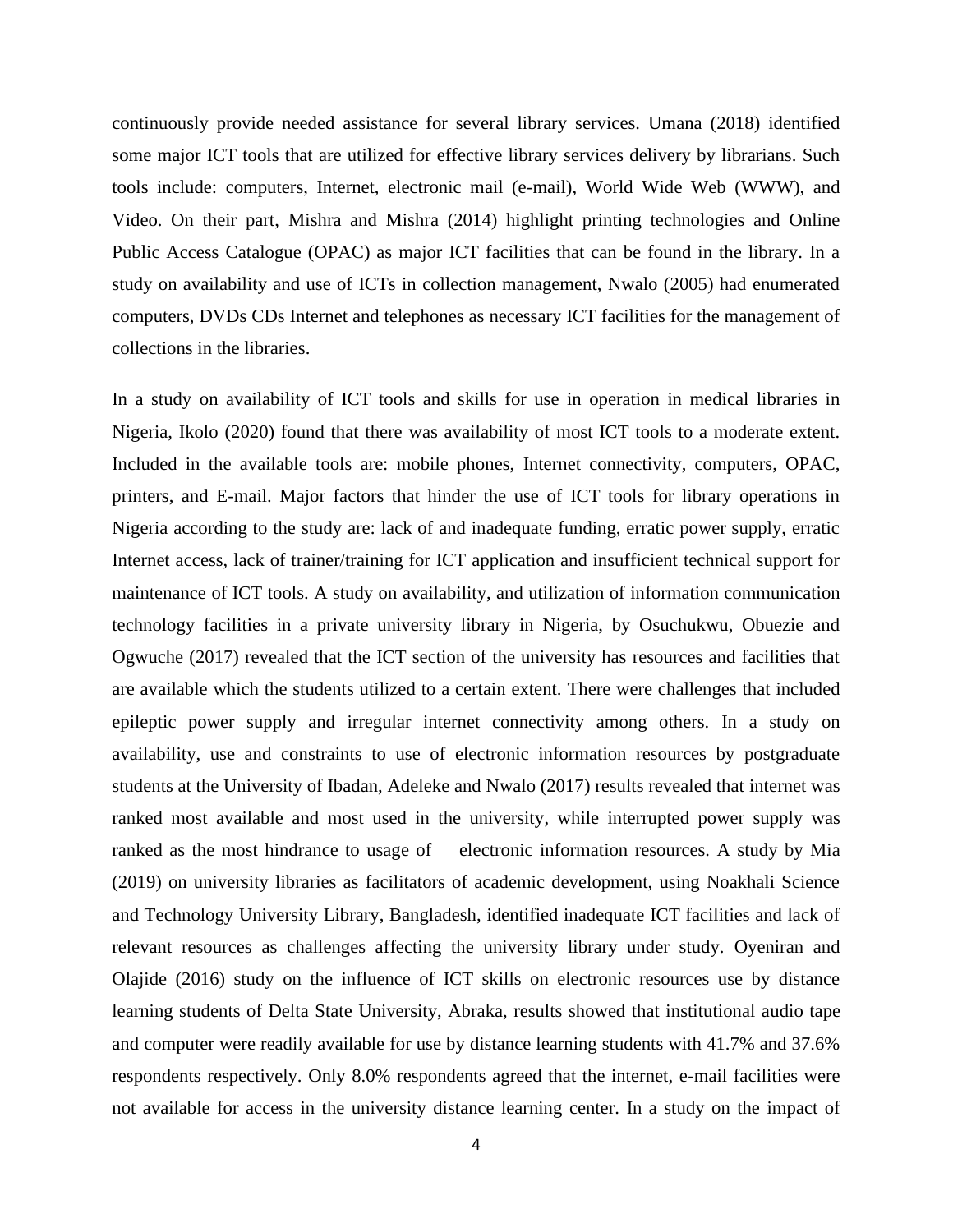continuously provide needed assistance for several library services. Umana (2018) identified some major ICT tools that are utilized for effective library services delivery by librarians. Such tools include: computers, Internet, electronic mail (e-mail), World Wide Web (WWW), and Video. On their part, Mishra and Mishra (2014) highlight printing technologies and Online Public Access Catalogue (OPAC) as major ICT facilities that can be found in the library. In a study on availability and use of ICTs in collection management, Nwalo (2005) had enumerated computers, DVDs CDs Internet and telephones as necessary ICT facilities for the management of collections in the libraries.

In a study on availability of ICT tools and skills for use in operation in medical libraries in Nigeria, Ikolo (2020) found that there was availability of most ICT tools to a moderate extent. Included in the available tools are: mobile phones, Internet connectivity, computers, OPAC, printers, and E-mail. Major factors that hinder the use of ICT tools for library operations in Nigeria according to the study are: lack of and inadequate funding, erratic power supply, erratic Internet access, lack of trainer/training for ICT application and insufficient technical support for maintenance of ICT tools. A study on availability, and utilization of information communication technology facilities in a private university library in Nigeria, by Osuchukwu, Obuezie and Ogwuche (2017) revealed that the ICT section of the university has resources and facilities that are available which the students utilized to a certain extent. There were challenges that included epileptic power supply and irregular internet connectivity among others. In a study on availability, use and constraints to use of electronic information resources by postgraduate students at the University of Ibadan, Adeleke and Nwalo (2017) results revealed that internet was ranked most available and most used in the university, while interrupted power supply was ranked as the most hindrance to usage of electronic information resources. A study by Mia (2019) on university libraries as facilitators of academic development, using Noakhali Science and Technology University Library, Bangladesh, identified inadequate ICT facilities and lack of relevant resources as challenges affecting the university library under study. Oyeniran and Olajide (2016) study on the influence of ICT skills on electronic resources use by distance learning students of Delta State University, Abraka, results showed that institutional audio tape and computer were readily available for use by distance learning students with 41.7% and 37.6% respondents respectively. Only 8.0% respondents agreed that the internet, e-mail facilities were not available for access in the university distance learning center. In a study on the impact of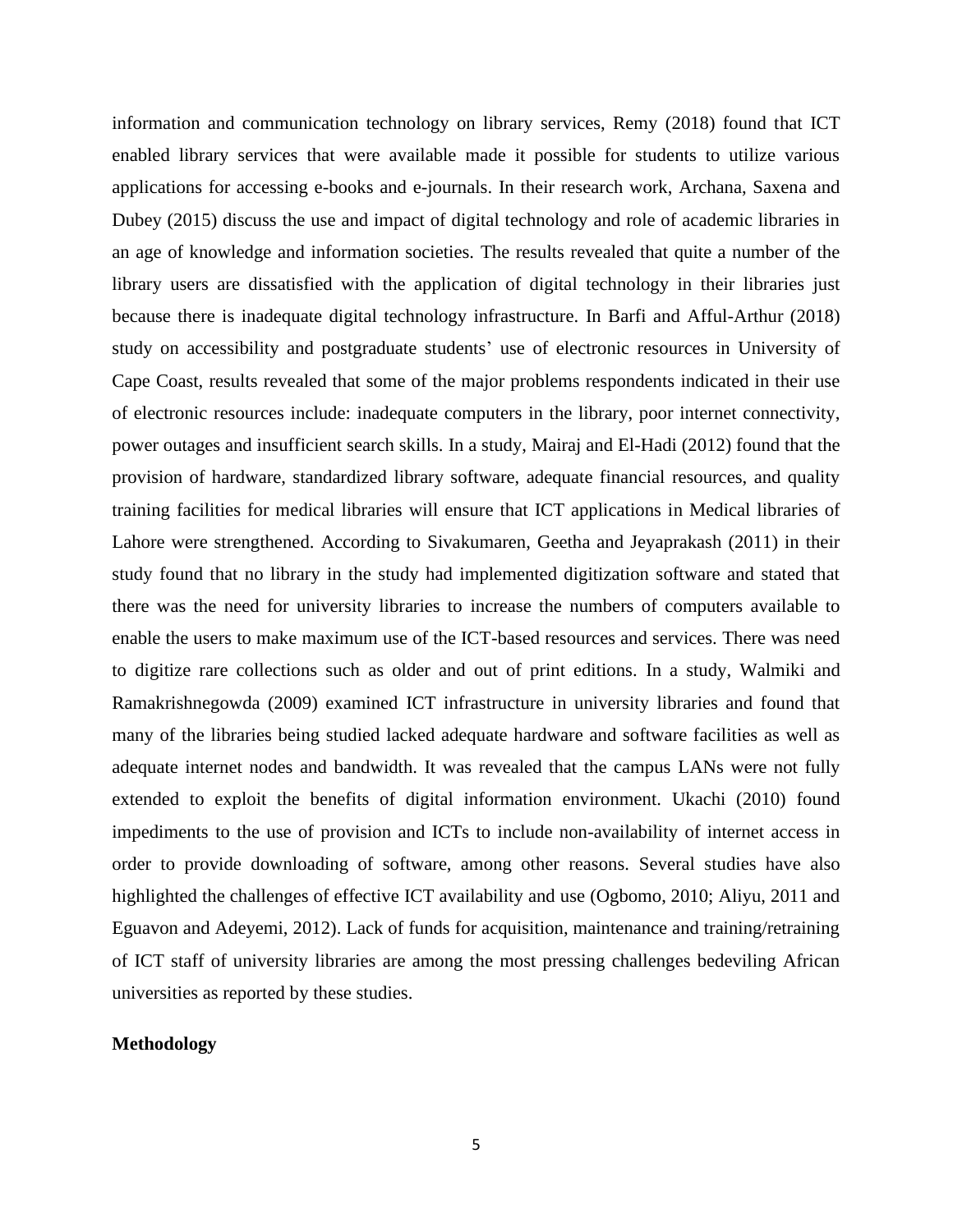information and communication technology on library services, Remy (2018) found that ICT enabled library services that were available made it possible for students to utilize various applications for accessing e-books and e-journals. In their research work, Archana, Saxena and Dubey (2015) discuss the use and impact of digital technology and role of academic libraries in an age of knowledge and information societies. The results revealed that quite a number of the library users are dissatisfied with the application of digital technology in their libraries just because there is inadequate digital technology infrastructure. In Barfi and Afful-Arthur (2018) study on accessibility and postgraduate students' use of electronic resources in University of Cape Coast, results revealed that some of the major problems respondents indicated in their use of electronic resources include: inadequate computers in the library, poor internet connectivity, power outages and insufficient search skills. In a study, Mairaj and El-Hadi (2012) found that the provision of hardware, standardized library software, adequate financial resources, and quality training facilities for medical libraries will ensure that ICT applications in Medical libraries of Lahore were strengthened. According to Sivakumaren, Geetha and Jeyaprakash (2011) in their study found that no library in the study had implemented digitization software and stated that there was the need for university libraries to increase the numbers of computers available to enable the users to make maximum use of the ICT-based resources and services. There was need to digitize rare collections such as older and out of print editions. In a study, Walmiki and Ramakrishnegowda (2009) examined ICT infrastructure in university libraries and found that many of the libraries being studied lacked adequate hardware and software facilities as well as adequate internet nodes and bandwidth. It was revealed that the campus LANs were not fully extended to exploit the benefits of digital information environment. Ukachi (2010) found impediments to the use of provision and ICTs to include non-availability of internet access in order to provide downloading of software, among other reasons. Several studies have also highlighted the challenges of effective ICT availability and use (Ogbomo, 2010; Aliyu, 2011 and Eguavon and Adeyemi, 2012). Lack of funds for acquisition, maintenance and training/retraining of ICT staff of university libraries are among the most pressing challenges bedeviling African universities as reported by these studies.

### **Methodology**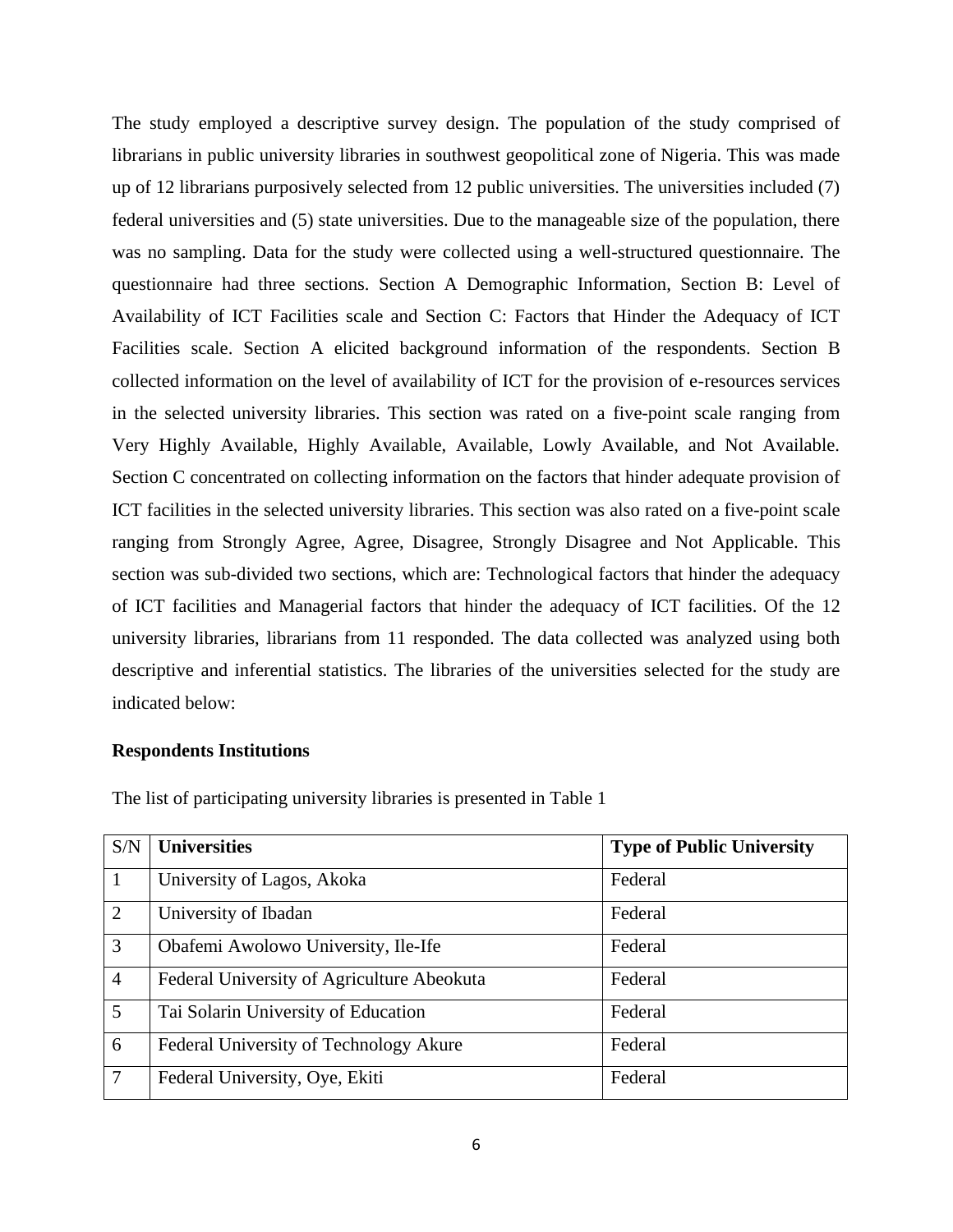The study employed a descriptive survey design. The population of the study comprised of librarians in public university libraries in southwest geopolitical zone of Nigeria. This was made up of 12 librarians purposively selected from 12 public universities. The universities included (7) federal universities and (5) state universities. Due to the manageable size of the population, there was no sampling. Data for the study were collected using a well-structured questionnaire. The questionnaire had three sections. Section A Demographic Information, Section B: Level of Availability of ICT Facilities scale and Section C: Factors that Hinder the Adequacy of ICT Facilities scale. Section A elicited background information of the respondents. Section B collected information on the level of availability of ICT for the provision of e-resources services in the selected university libraries. This section was rated on a five-point scale ranging from Very Highly Available, Highly Available, Available, Lowly Available, and Not Available. Section C concentrated on collecting information on the factors that hinder adequate provision of ICT facilities in the selected university libraries. This section was also rated on a five-point scale ranging from Strongly Agree, Agree, Disagree, Strongly Disagree and Not Applicable. This section was sub-divided two sections, which are: Technological factors that hinder the adequacy of ICT facilities and Managerial factors that hinder the adequacy of ICT facilities. Of the 12 university libraries, librarians from 11 responded. The data collected was analyzed using both descriptive and inferential statistics. The libraries of the universities selected for the study are indicated below:

#### **Respondents Institutions**

| S/N             | <b>Universities</b>                        | <b>Type of Public University</b> |
|-----------------|--------------------------------------------|----------------------------------|
| $\mathbf{1}$    | University of Lagos, Akoka                 | Federal                          |
| 2               | University of Ibadan                       | Federal                          |
| $\overline{3}$  | Obafemi Awolowo University, Ile-Ife        | Federal                          |
| $\overline{4}$  | Federal University of Agriculture Abeokuta | Federal                          |
| $\overline{5}$  | Tai Solarin University of Education        | Federal                          |
| 6               | Federal University of Technology Akure     | Federal                          |
| $7\phantom{.0}$ | Federal University, Oye, Ekiti             | Federal                          |

The list of participating university libraries is presented in Table 1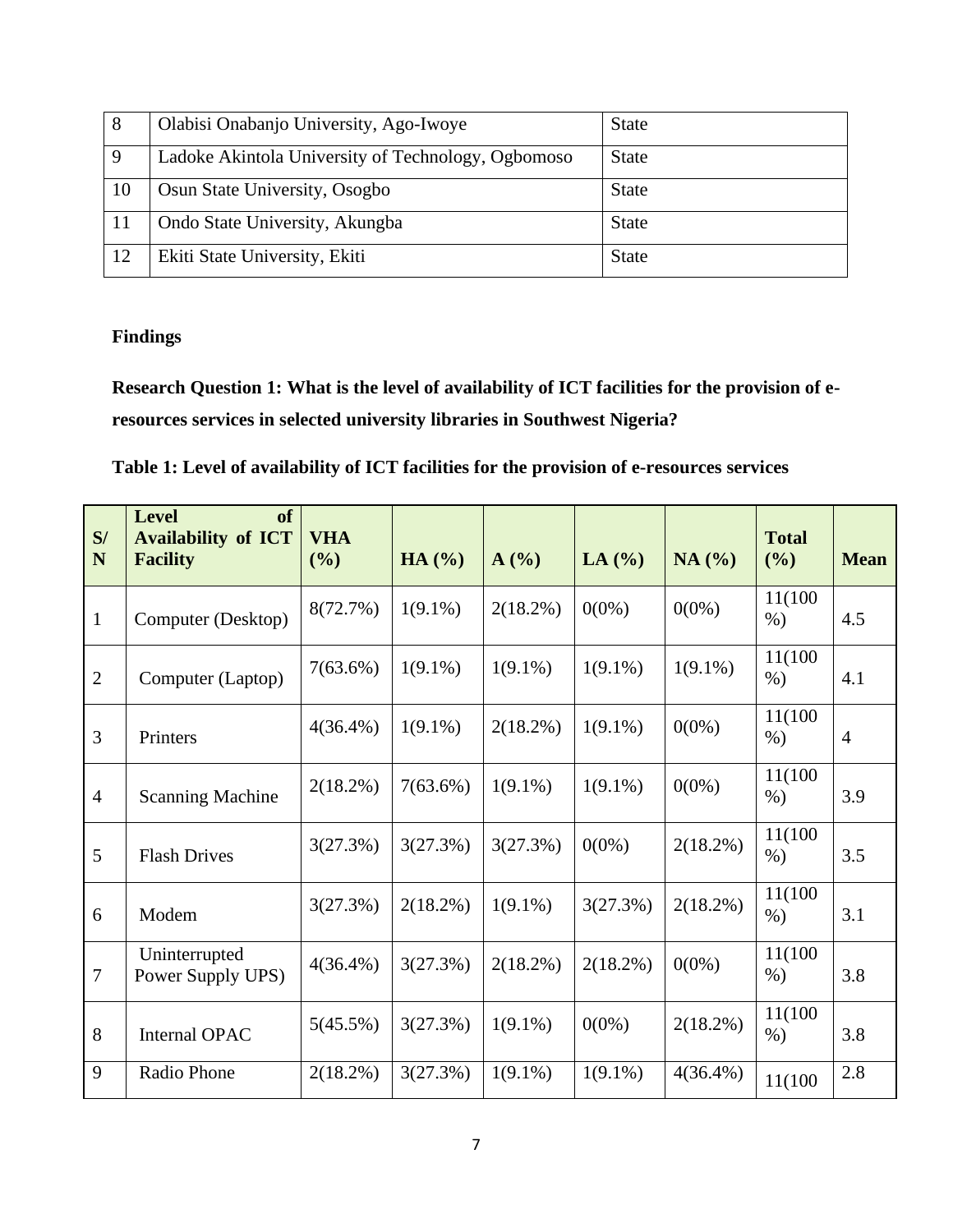| 8  | Olabisi Onabanjo University, Ago-Iwoye             | <b>State</b> |
|----|----------------------------------------------------|--------------|
| 9  | Ladoke Akintola University of Technology, Ogbomoso | <b>State</b> |
| 10 | Osun State University, Osogbo                      | <b>State</b> |
| 11 | Ondo State University, Akungba                     | <b>State</b> |
| 12 | Ekiti State University, Ekiti                      | <b>State</b> |

### **Findings**

**Research Question 1: What is the level of availability of ICT facilities for the provision of eresources services in selected university libraries in Southwest Nigeria?** 

**Table 1: Level of availability of ICT facilities for the provision of e-resources services**

| S/<br>N        | <b>Level</b><br><b>of</b><br><b>Availability of ICT</b><br><b>Facility</b> | <b>VHA</b><br>(%) | HA (%)      | A(%)        | LA $(%)$    | NA(%)       | <b>Total</b><br>$($ %) | <b>Mean</b>    |
|----------------|----------------------------------------------------------------------------|-------------------|-------------|-------------|-------------|-------------|------------------------|----------------|
| $\mathbf{1}$   | Computer (Desktop)                                                         | 8(72.7%)          | $1(9.1\%)$  | $2(18.2\%)$ | $0(0\%)$    | $0(0\%)$    | 11(100)<br>$\%$ )      | 4.5            |
| $\overline{2}$ | Computer (Laptop)                                                          | 7(63.6%)          | $1(9.1\%)$  | $1(9.1\%)$  | $1(9.1\%)$  | $1(9.1\%)$  | 11(100)<br>$\%$ )      | 4.1            |
| 3              | Printers                                                                   | $4(36.4\%)$       | $1(9.1\%)$  | 2(18.2%)    | $1(9.1\%)$  | $0(0\%)$    | 11(100)<br>$\%$ )      | $\overline{4}$ |
| $\overline{4}$ | <b>Scanning Machine</b>                                                    | $2(18.2\%)$       | 7(63.6%)    | $1(9.1\%)$  | $1(9.1\%)$  | $0(0\%)$    | 11(100)<br>$\%$ )      | 3.9            |
| 5              | <b>Flash Drives</b>                                                        | 3(27.3%)          | 3(27.3%)    | 3(27.3%)    | $0(0\%)$    | $2(18.2\%)$ | 11(100)<br>$%$ )       | 3.5            |
| 6              | Modem                                                                      | 3(27.3%)          | $2(18.2\%)$ | $1(9.1\%)$  | 3(27.3%)    | $2(18.2\%)$ | 11(100)<br>$\%$ )      | 3.1            |
| $\tau$         | Uninterrupted<br>Power Supply UPS)                                         | $4(36.4\%)$       | 3(27.3%)    | $2(18.2\%)$ | $2(18.2\%)$ | $0(0\%)$    | 11(100)<br>$\%$ )      | 3.8            |
| 8              | <b>Internal OPAC</b>                                                       | 5(45.5%)          | 3(27.3%)    | $1(9.1\%)$  | $0(0\%)$    | $2(18.2\%)$ | 11(100)<br>$%$ )       | 3.8            |
| 9              | Radio Phone                                                                | $2(18.2\%)$       | 3(27.3%)    | $1(9.1\%)$  | $1(9.1\%)$  | $4(36.4\%)$ | 11(100)                | 2.8            |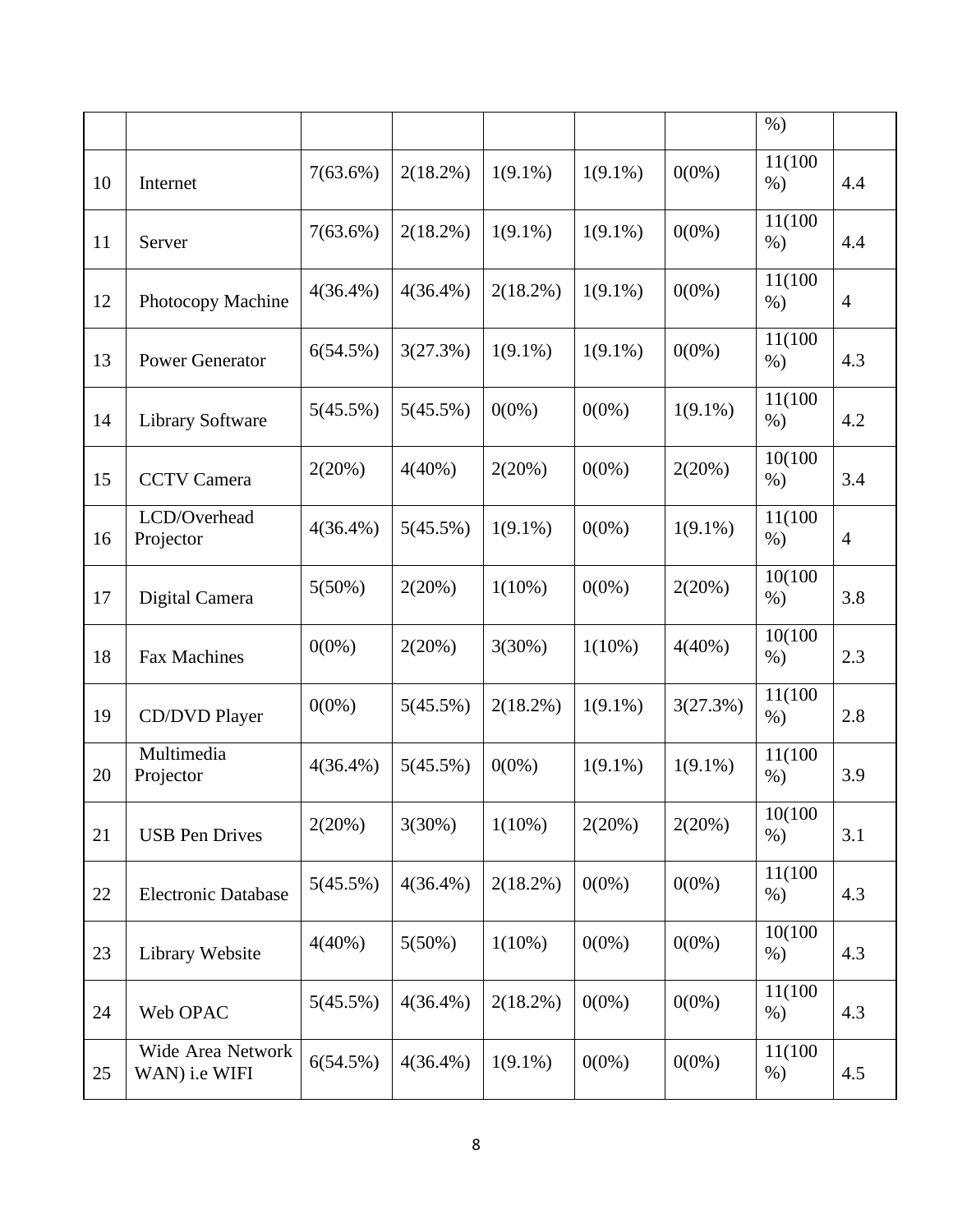|    |                                    |             |             |             |            |            | $%$ )            |                |
|----|------------------------------------|-------------|-------------|-------------|------------|------------|------------------|----------------|
| 10 | Internet                           | 7(63.6%)    | 2(18.2%)    | $1(9.1\%)$  | $1(9.1\%)$ | $0(0\%)$   | 11(100<br>$%$ )  | 4.4            |
| 11 | Server                             | $7(63.6\%)$ | 2(18.2%)    | $1(9.1\%)$  | $1(9.1\%)$ | $0(0\%)$   | 11(100<br>$%$ )  | 4.4            |
| 12 | Photocopy Machine                  | $4(36.4\%)$ | $4(36.4\%)$ | $2(18.2\%)$ | $1(9.1\%)$ | $0(0\%)$   | 11(100)<br>$%$ ) | $\overline{4}$ |
| 13 | <b>Power Generator</b>             | 6(54.5%)    | 3(27.3%)    | $1(9.1\%)$  | $1(9.1\%)$ | $0(0\%)$   | 11(100<br>$%$ )  | 4.3            |
| 14 | <b>Library Software</b>            | 5(45.5%)    | 5(45.5%)    | $0(0\%)$    | $0(0\%)$   | $1(9.1\%)$ | 11(100<br>$%$ )  | 4.2            |
| 15 | <b>CCTV</b> Camera                 | 2(20%)      | $4(40\%)$   | 2(20%)      | $0(0\%)$   | 2(20%)     | 10(100<br>$%$ )  | 3.4            |
| 16 | LCD/Overhead<br>Projector          | $4(36.4\%)$ | 5(45.5%)    | $1(9.1\%)$  | $0(0\%)$   | $1(9.1\%)$ | 11(100<br>$%$ )  | $\overline{4}$ |
| 17 | Digital Camera                     | 5(50%)      | 2(20%)      | $1(10\%)$   | $0(0\%)$   | 2(20%)     | 10(100<br>$%$ )  | 3.8            |
| 18 | <b>Fax Machines</b>                | $0(0\%)$    | 2(20%)      | 3(30%)      | $1(10\%)$  | $4(40\%)$  | 10(100<br>$%$ )  | 2.3            |
| 19 | CD/DVD Player                      | $0(0\%)$    | 5(45.5%)    | $2(18.2\%)$ | $1(9.1\%)$ | 3(27.3%)   | 11(100<br>$%$ )  | 2.8            |
| 20 | Multimedia<br>Projector            | $4(36.4\%)$ | 5(45.5%)    | $0(0\%)$    | $1(9.1\%)$ | $1(9.1\%)$ | 11(100<br>$%$ )  | 3.9            |
| 21 | <b>USB</b> Pen Drives              | 2(20%)      | 3(30%)      | $1(10\%)$   | 2(20%)     | 2(20%)     | 10(100<br>$%$ )  | 3.1            |
| 22 | <b>Electronic Database</b>         | 5(45.5%)    | $4(36.4\%)$ | 2(18.2%)    | $0(0\%)$   | $0(0\%)$   | 11(100<br>$%$ )  | 4.3            |
| 23 | Library Website                    | $4(40\%)$   | $5(50\%)$   | $1(10\%)$   | $0(0\%)$   | $0(0\%)$   | 10(100<br>$%$ )  | 4.3            |
| 24 | Web OPAC                           | 5(45.5%)    | $4(36.4\%)$ | $2(18.2\%)$ | $0(0\%)$   | $0(0\%)$   | 11(100<br>$%$ )  | 4.3            |
| 25 | Wide Area Network<br>WAN) i.e WIFI | 6(54.5%)    | $4(36.4\%)$ | $1(9.1\%)$  | $0(0\%)$   | $0(0\%)$   | 11(100<br>$%$ )  | 4.5            |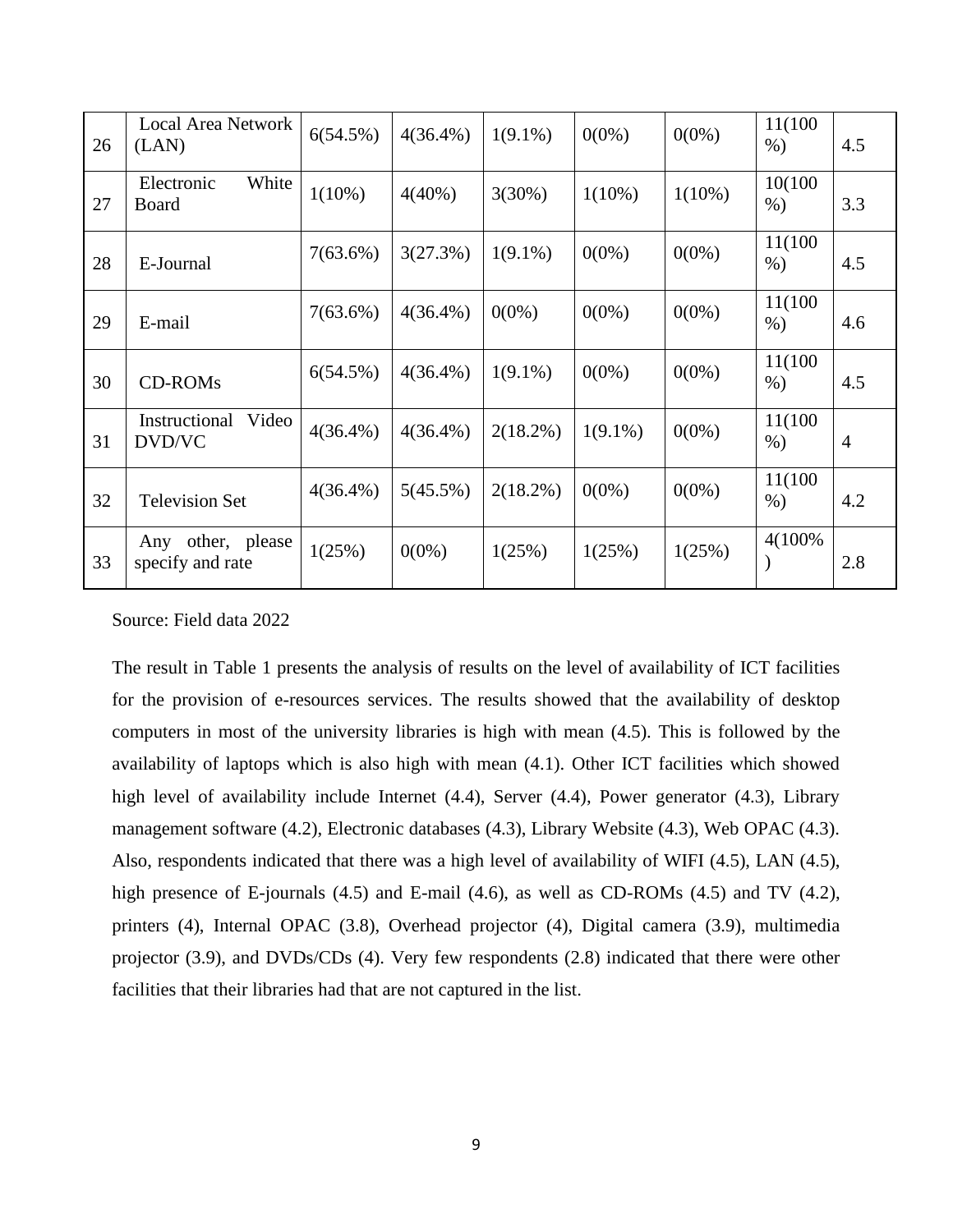| 26 | <b>Local Area Network</b><br>(LAN)    | 6(54.5%)    | $4(36.4\%)$ | $1(9.1\%)$  | $0(0\%)$   | $0(0\%)$  | 11(100)<br>$\%$ ) | 4.5            |
|----|---------------------------------------|-------------|-------------|-------------|------------|-----------|-------------------|----------------|
| 27 | White<br>Electronic<br>Board          | $1(10\%)$   | $4(40\%)$   | 3(30%)      | $1(10\%)$  | $1(10\%)$ | 10(100)<br>$%$ )  | 3.3            |
| 28 | E-Journal                             | $7(63.6\%)$ | 3(27.3%)    | $1(9.1\%)$  | $0(0\%)$   | $0(0\%)$  | 11(100)<br>$%$ )  | 4.5            |
| 29 | E-mail                                | $7(63.6\%)$ | $4(36.4\%)$ | $0(0\%)$    | $0(0\%)$   | $0(0\%)$  | 11(100)<br>$%$ )  | 4.6            |
| 30 | <b>CD-ROMs</b>                        | 6(54.5%)    | $4(36.4\%)$ | $1(9.1\%)$  | $0(0\%)$   | $0(0\%)$  | 11(100)<br>$%$ )  | 4.5            |
| 31 | Instructional<br>Video<br>DVD/VC      | $4(36.4\%)$ | $4(36.4\%)$ | $2(18.2\%)$ | $1(9.1\%)$ | $0(0\%)$  | 11(100)<br>$%$ )  | $\overline{4}$ |
| 32 | <b>Television Set</b>                 | $4(36.4\%)$ | 5(45.5%)    | $2(18.2\%)$ | $0(0\%)$   | $0(0\%)$  | 11(100)<br>$%$ )  | 4.2            |
| 33 | Any other, please<br>specify and rate | 1(25%)      | $0(0\%)$    | 1(25%)      | 1(25%)     | 1(25%)    | 4(100%)           | 2.8            |

Source: Field data 2022

The result in Table 1 presents the analysis of results on the level of availability of ICT facilities for the provision of e-resources services. The results showed that the availability of desktop computers in most of the university libraries is high with mean (4.5). This is followed by the availability of laptops which is also high with mean (4.1). Other ICT facilities which showed high level of availability include Internet (4.4), Server (4.4), Power generator (4.3), Library management software (4.2), Electronic databases (4.3), Library Website (4.3), Web OPAC (4.3). Also, respondents indicated that there was a high level of availability of WIFI (4.5), LAN (4.5), high presence of E-journals (4.5) and E-mail (4.6), as well as CD-ROMs (4.5) and TV (4.2), printers (4), Internal OPAC (3.8), Overhead projector (4), Digital camera (3.9), multimedia projector (3.9), and DVDs/CDs (4). Very few respondents (2.8) indicated that there were other facilities that their libraries had that are not captured in the list.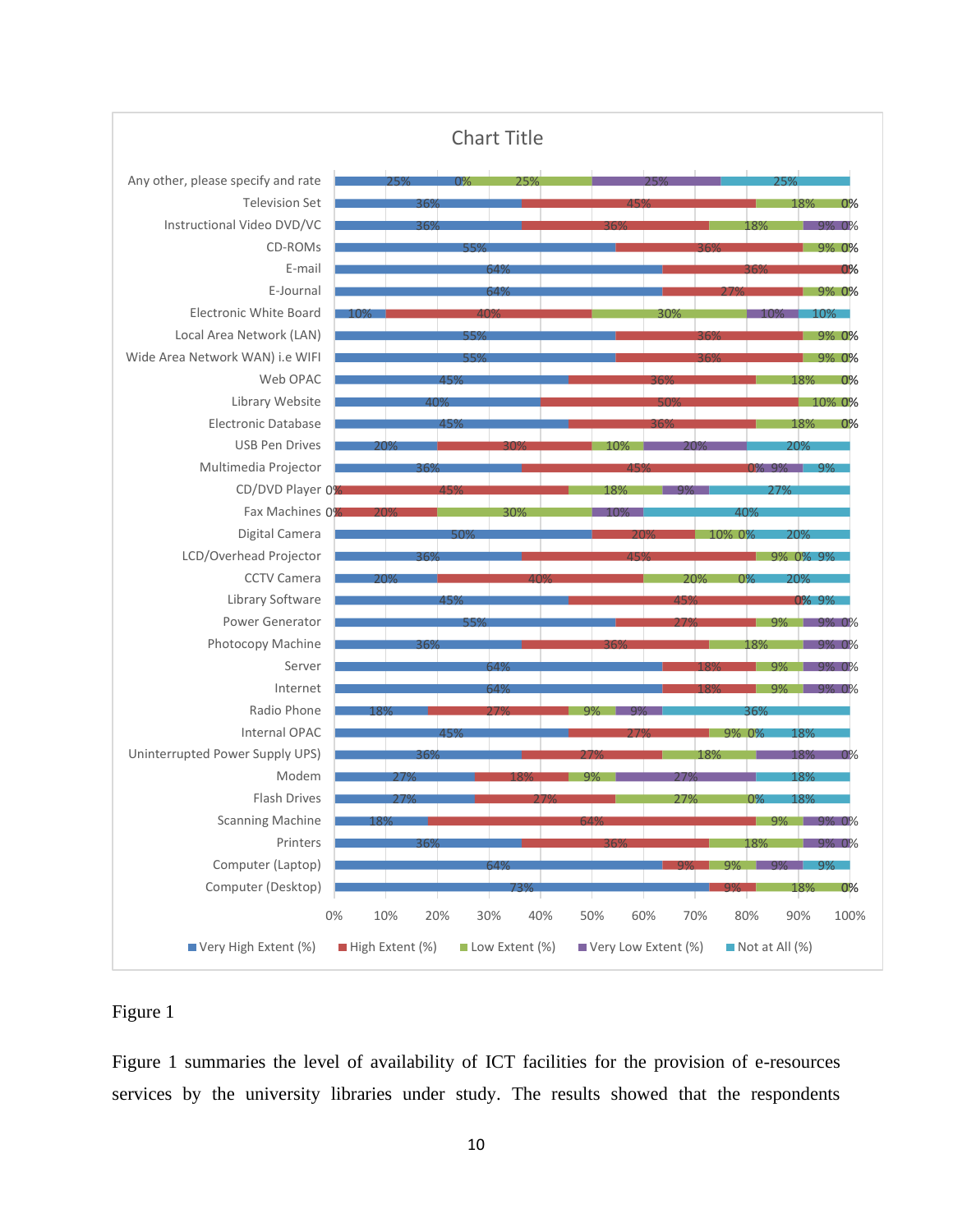

### Figure 1

Figure 1 summaries the level of availability of ICT facilities for the provision of e-resources services by the university libraries under study. The results showed that the respondents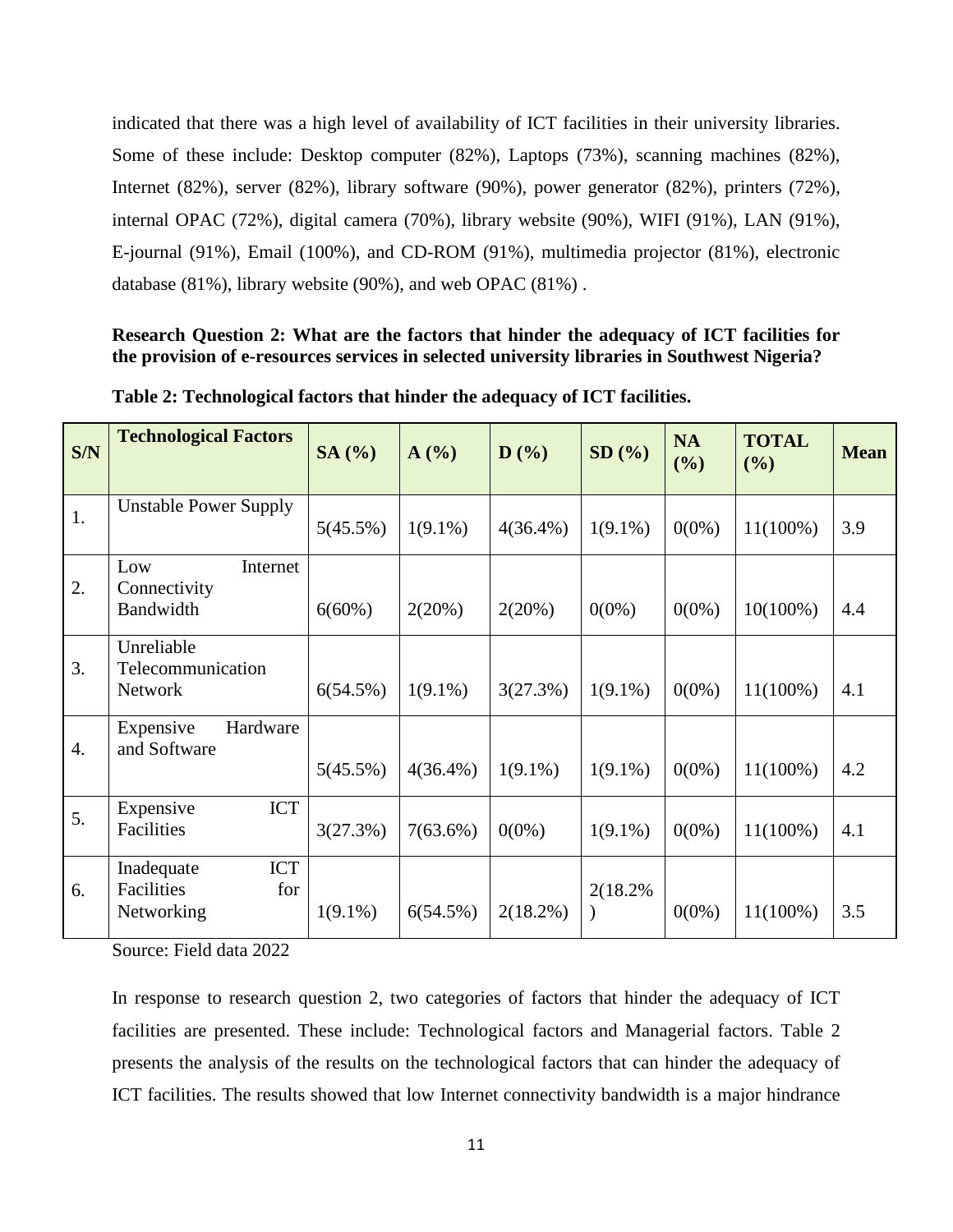indicated that there was a high level of availability of ICT facilities in their university libraries. Some of these include: Desktop computer (82%), Laptops (73%), scanning machines (82%), Internet (82%), server (82%), library software (90%), power generator (82%), printers (72%), internal OPAC (72%), digital camera (70%), library website (90%), WIFI (91%), LAN (91%), E-journal (91%), Email (100%), and CD-ROM (91%), multimedia projector (81%), electronic database (81%), library website (90%), and web OPAC (81%) .

### **Research Question 2: What are the factors that hinder the adequacy of ICT facilities for the provision of e-resources services in selected university libraries in Southwest Nigeria?**

| S/N              | <b>Technological Factors</b>                                | SA(%)      | A(%)        | $\mathbf{D}$ (%) | SD(%)      | <b>NA</b><br>(%) | <b>TOTAL</b><br>(%) | <b>Mean</b> |
|------------------|-------------------------------------------------------------|------------|-------------|------------------|------------|------------------|---------------------|-------------|
| 1.               | <b>Unstable Power Supply</b>                                | 5(45.5%)   | $1(9.1\%)$  | $4(36.4\%)$      | $1(9.1\%)$ | $0(0\%)$         | $11(100\%)$         | 3.9         |
| 2.               | Low<br>Internet<br>Connectivity<br>Bandwidth                | 6(60%)     | 2(20%)      | 2(20%)           | $0(0\%)$   | $0(0\%)$         | $10(100\%)$         | 4.4         |
| 3.               | Unreliable<br>Telecommunication<br><b>Network</b>           | 6(54.5%)   | $1(9.1\%)$  | 3(27.3%)         | $1(9.1\%)$ | $0(0\%)$         | $11(100\%)$         | 4.1         |
| $\overline{4}$ . | Expensive<br>Hardware<br>and Software                       | 5(45.5%)   | $4(36.4\%)$ | $1(9.1\%)$       | $1(9.1\%)$ | $0(0\%)$         | $11(100\%)$         | 4.2         |
| 5.               | <b>ICT</b><br>Expensive<br>Facilities                       | 3(27.3%)   | $7(63.6\%)$ | $0(0\%)$         | $1(9.1\%)$ | $0(0\%)$         | $11(100\%)$         | 4.1         |
| 6.               | <b>ICT</b><br>Inadequate<br>Facilities<br>for<br>Networking | $1(9.1\%)$ | 6(54.5%)    | $2(18.2\%)$      | 2(18.2%)   | $0(0\%)$         | $11(100\%)$         | 3.5         |

**Table 2: Technological factors that hinder the adequacy of ICT facilities.** 

Source: Field data 2022

In response to research question 2, two categories of factors that hinder the adequacy of ICT facilities are presented. These include: Technological factors and Managerial factors. Table 2 presents the analysis of the results on the technological factors that can hinder the adequacy of ICT facilities. The results showed that low Internet connectivity bandwidth is a major hindrance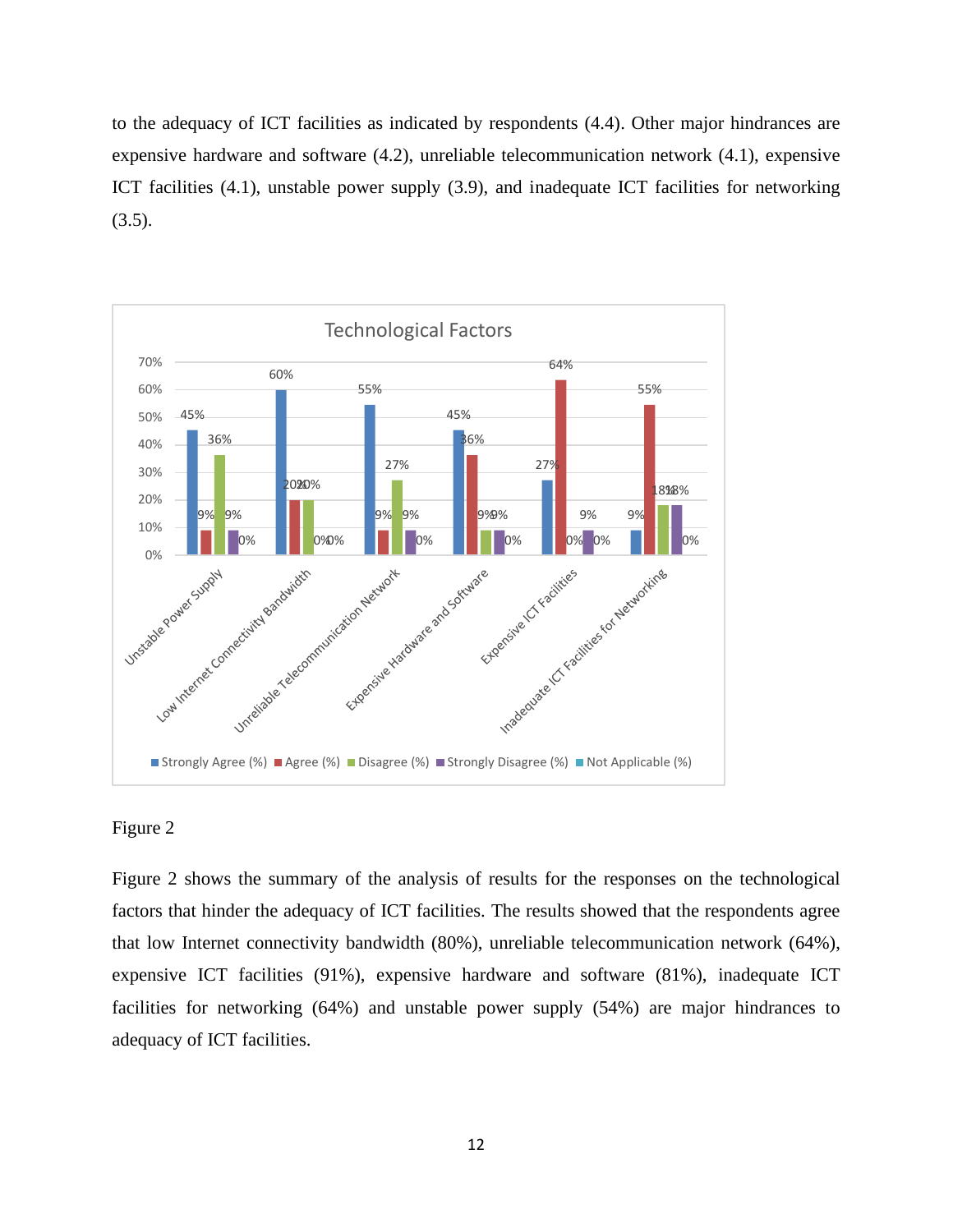to the adequacy of ICT facilities as indicated by respondents (4.4). Other major hindrances are expensive hardware and software (4.2), unreliable telecommunication network (4.1), expensive ICT facilities (4.1), unstable power supply (3.9), and inadequate ICT facilities for networking  $(3.5).$ 



### Figure 2

Figure 2 shows the summary of the analysis of results for the responses on the technological factors that hinder the adequacy of ICT facilities. The results showed that the respondents agree that low Internet connectivity bandwidth (80%), unreliable telecommunication network (64%), expensive ICT facilities (91%), expensive hardware and software (81%), inadequate ICT facilities for networking (64%) and unstable power supply (54%) are major hindrances to adequacy of ICT facilities.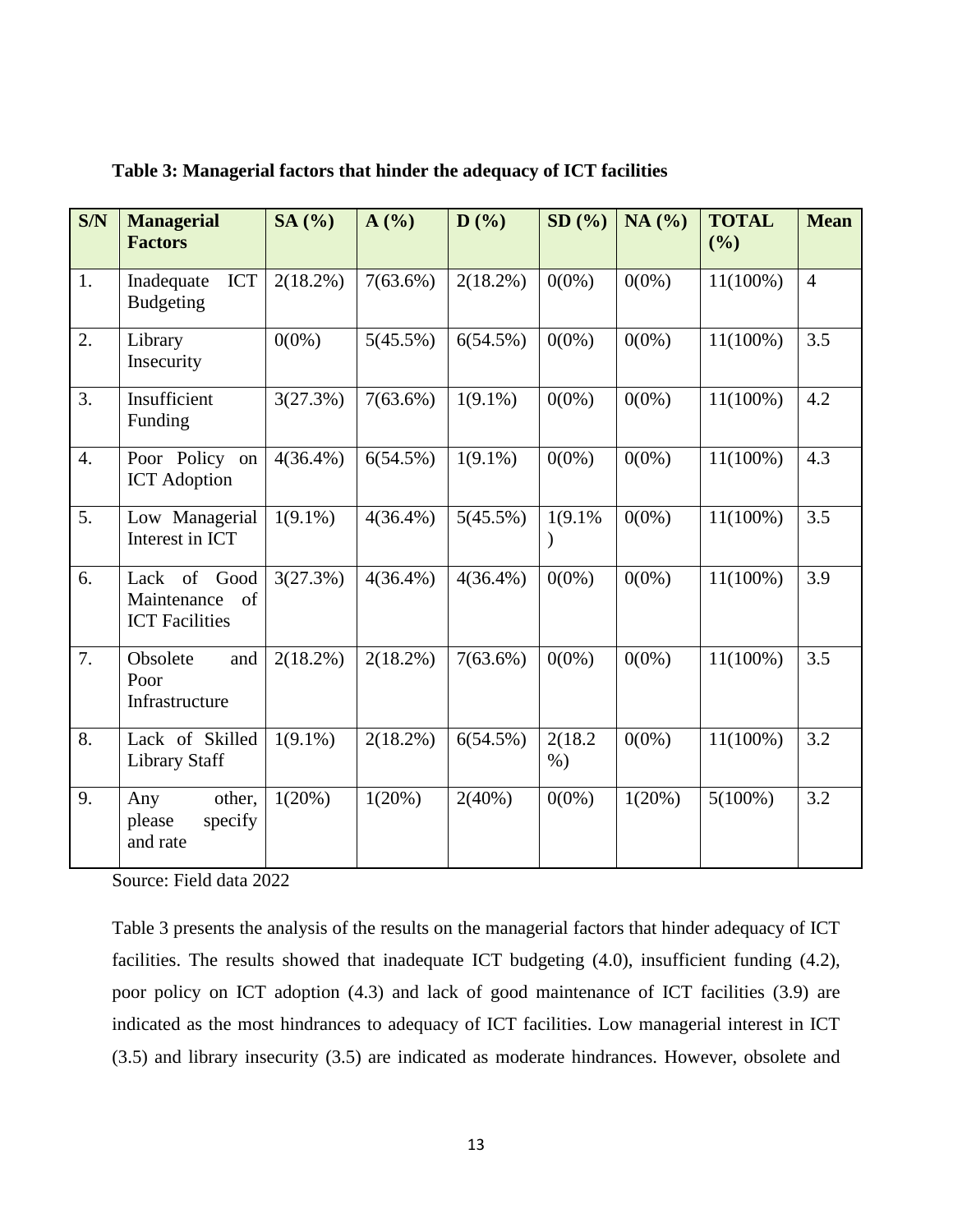| S/N              | <b>Managerial</b><br><b>Factors</b>                        | SA (%)      | A(%)        | D(%)        | SD(%)               | NA(%)    | <b>TOTAL</b><br>(%) | <b>Mean</b>    |
|------------------|------------------------------------------------------------|-------------|-------------|-------------|---------------------|----------|---------------------|----------------|
| 1.               | <b>ICT</b><br>Inadequate<br><b>Budgeting</b>               | $2(18.2\%)$ | $7(63.6\%)$ | $2(18.2\%)$ | $0(0\%)$            | $0(0\%)$ | $11(100\%)$         | $\overline{4}$ |
| 2.               | Library<br>Insecurity                                      | $0(0\%)$    | 5(45.5%)    | 6(54.5%)    | $0(0\%)$            | $0(0\%)$ | $11(100\%)$         | 3.5            |
| 3.               | Insufficient<br>Funding                                    | 3(27.3%)    | $7(63.6\%)$ | $1(9.1\%)$  | $0(0\%)$            | $0(0\%)$ | $11(100\%)$         | 4.2            |
| $\overline{4}$ . | Poor Policy on<br><b>ICT</b> Adoption                      | $4(36.4\%)$ | 6(54.5%)    | $1(9.1\%)$  | $0(0\%)$            | $0(0\%)$ | $11(100\%)$         | 4.3            |
| 5.               | Low Managerial<br>Interest in ICT                          | $1(9.1\%)$  | $4(36.4\%)$ | 5(45.5%)    | 1(9.1%<br>$\lambda$ | $0(0\%)$ | $11(100\%)$         | 3.5            |
| 6.               | Lack of Good<br>of<br>Maintenance<br><b>ICT</b> Facilities | 3(27.3%)    | $4(36.4\%)$ | $4(36.4\%)$ | $0(0\%)$            | $0(0\%)$ | $11(100\%)$         | 3.9            |
| 7.               | Obsolete<br>and<br>Poor<br>Infrastructure                  | $2(18.2\%)$ | $2(18.2\%)$ | $7(63.6\%)$ | $0(0\%)$            | $0(0\%)$ | $11(100\%)$         | 3.5            |
| 8.               | Lack of Skilled<br><b>Library Staff</b>                    | $1(9.1\%)$  | $2(18.2\%)$ | 6(54.5%)    | 2(18.2)<br>$%$ )    | $0(0\%)$ | $11(100\%)$         | 3.2            |
| 9.               | other,<br>Any<br>please<br>specify<br>and rate             | 1(20%)      | 1(20%)      | 2(40%)      | $0(0\%)$            | 1(20%)   | $5(100\%)$          | 3.2            |

**Table 3: Managerial factors that hinder the adequacy of ICT facilities**

Source: Field data 2022

Table 3 presents the analysis of the results on the managerial factors that hinder adequacy of ICT facilities. The results showed that inadequate ICT budgeting (4.0), insufficient funding (4.2), poor policy on ICT adoption (4.3) and lack of good maintenance of ICT facilities (3.9) are indicated as the most hindrances to adequacy of ICT facilities. Low managerial interest in ICT (3.5) and library insecurity (3.5) are indicated as moderate hindrances. However, obsolete and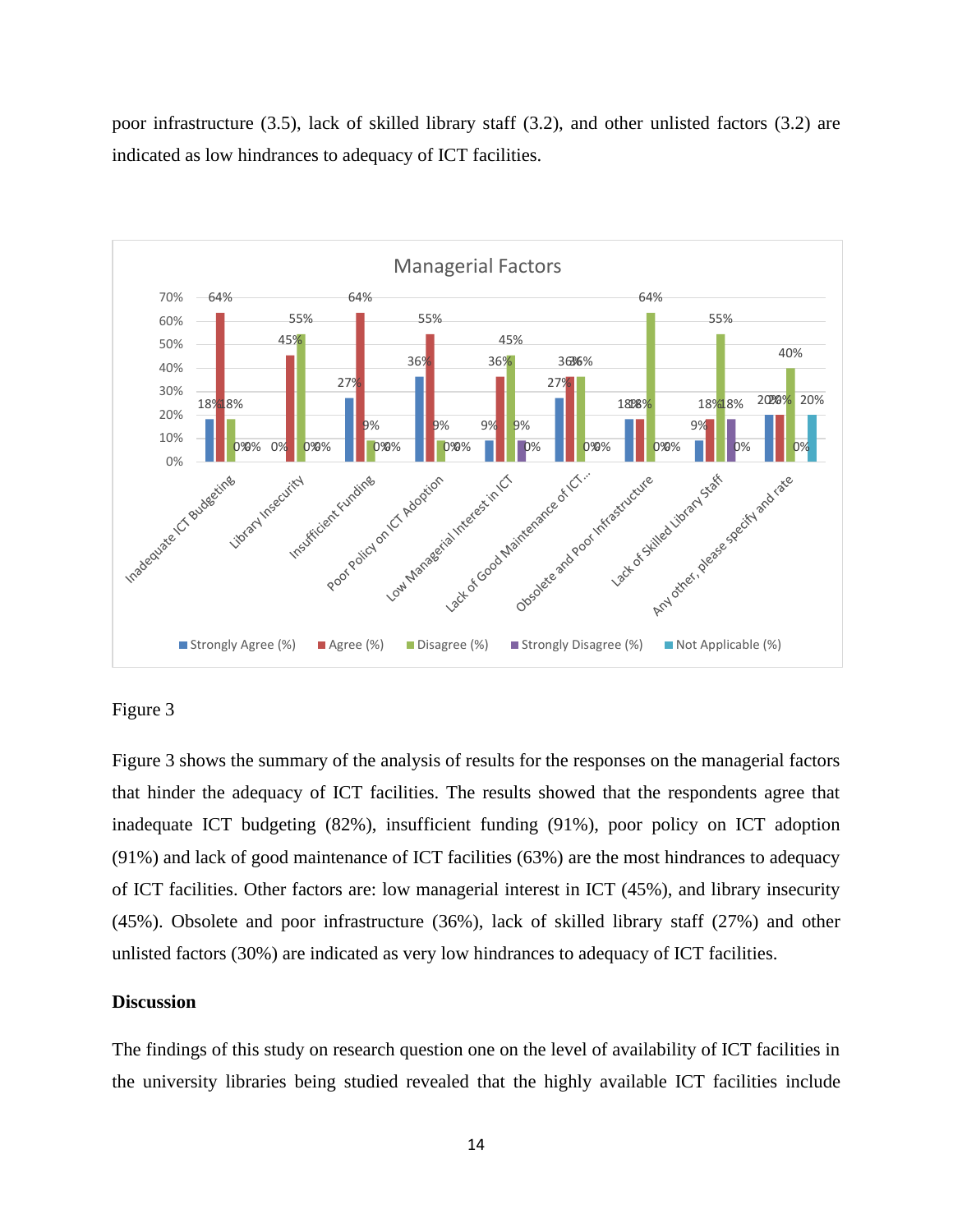poor infrastructure (3.5), lack of skilled library staff (3.2), and other unlisted factors (3.2) are indicated as low hindrances to adequacy of ICT facilities.



### Figure 3

Figure 3 shows the summary of the analysis of results for the responses on the managerial factors that hinder the adequacy of ICT facilities. The results showed that the respondents agree that inadequate ICT budgeting (82%), insufficient funding (91%), poor policy on ICT adoption (91%) and lack of good maintenance of ICT facilities (63%) are the most hindrances to adequacy of ICT facilities. Other factors are: low managerial interest in ICT (45%), and library insecurity (45%). Obsolete and poor infrastructure (36%), lack of skilled library staff (27%) and other unlisted factors (30%) are indicated as very low hindrances to adequacy of ICT facilities.

### **Discussion**

The findings of this study on research question one on the level of availability of ICT facilities in the university libraries being studied revealed that the highly available ICT facilities include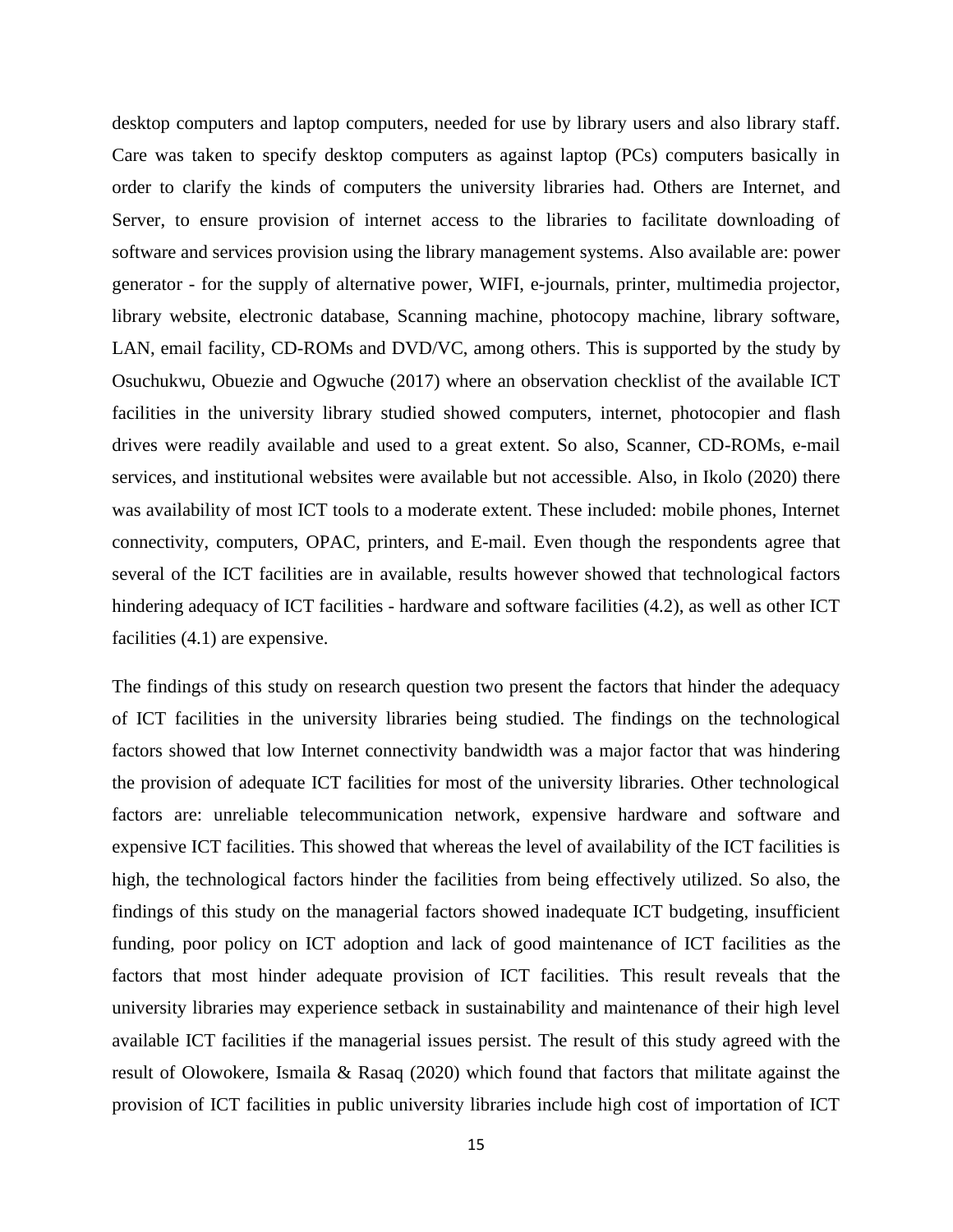desktop computers and laptop computers, needed for use by library users and also library staff. Care was taken to specify desktop computers as against laptop (PCs) computers basically in order to clarify the kinds of computers the university libraries had. Others are Internet, and Server, to ensure provision of internet access to the libraries to facilitate downloading of software and services provision using the library management systems. Also available are: power generator - for the supply of alternative power, WIFI, e-journals, printer, multimedia projector, library website, electronic database, Scanning machine, photocopy machine, library software, LAN, email facility, CD-ROMs and DVD/VC, among others. This is supported by the study by Osuchukwu, Obuezie and Ogwuche (2017) where an observation checklist of the available ICT facilities in the university library studied showed computers, internet, photocopier and flash drives were readily available and used to a great extent. So also, Scanner, CD-ROMs, e-mail services, and institutional websites were available but not accessible. Also, in Ikolo (2020) there was availability of most ICT tools to a moderate extent. These included: mobile phones, Internet connectivity, computers, OPAC, printers, and E-mail. Even though the respondents agree that several of the ICT facilities are in available, results however showed that technological factors hindering adequacy of ICT facilities - hardware and software facilities (4.2), as well as other ICT facilities (4.1) are expensive.

The findings of this study on research question two present the factors that hinder the adequacy of ICT facilities in the university libraries being studied. The findings on the technological factors showed that low Internet connectivity bandwidth was a major factor that was hindering the provision of adequate ICT facilities for most of the university libraries. Other technological factors are: unreliable telecommunication network, expensive hardware and software and expensive ICT facilities. This showed that whereas the level of availability of the ICT facilities is high, the technological factors hinder the facilities from being effectively utilized. So also, the findings of this study on the managerial factors showed inadequate ICT budgeting, insufficient funding, poor policy on ICT adoption and lack of good maintenance of ICT facilities as the factors that most hinder adequate provision of ICT facilities. This result reveals that the university libraries may experience setback in sustainability and maintenance of their high level available ICT facilities if the managerial issues persist. The result of this study agreed with the result of Olowokere, Ismaila & Rasaq (2020) which found that factors that militate against the provision of ICT facilities in public university libraries include high cost of importation of ICT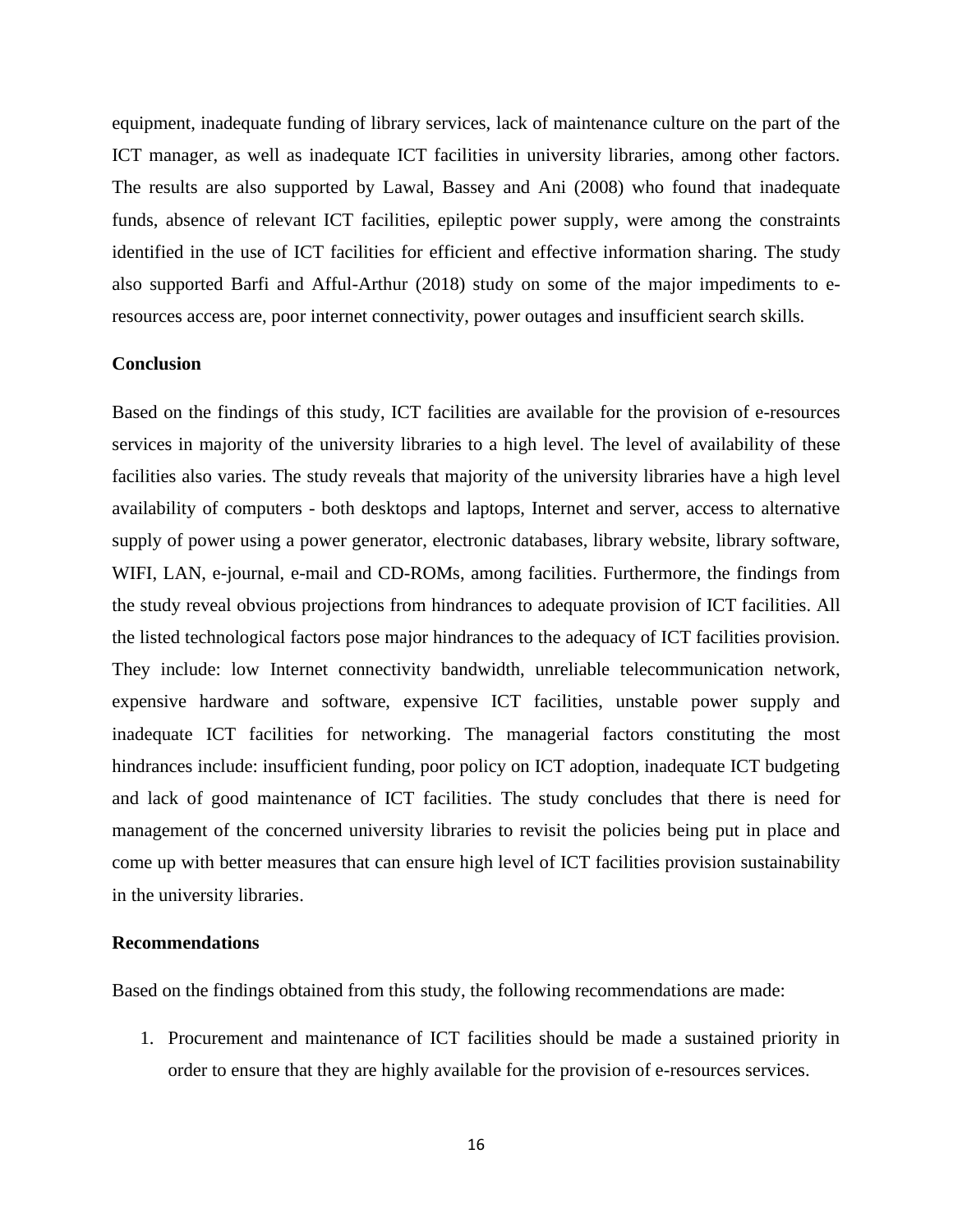equipment, inadequate funding of library services, lack of maintenance culture on the part of the ICT manager, as well as inadequate ICT facilities in university libraries, among other factors. The results are also supported by Lawal, Bassey and Ani (2008) who found that inadequate funds, absence of relevant ICT facilities, epileptic power supply, were among the constraints identified in the use of ICT facilities for efficient and effective information sharing. The study also supported Barfi and Afful-Arthur (2018) study on some of the major impediments to eresources access are, poor internet connectivity, power outages and insufficient search skills.

### **Conclusion**

Based on the findings of this study, ICT facilities are available for the provision of e-resources services in majority of the university libraries to a high level. The level of availability of these facilities also varies. The study reveals that majority of the university libraries have a high level availability of computers - both desktops and laptops, Internet and server, access to alternative supply of power using a power generator, electronic databases, library website, library software, WIFI, LAN, e-journal, e-mail and CD-ROMs, among facilities. Furthermore, the findings from the study reveal obvious projections from hindrances to adequate provision of ICT facilities. All the listed technological factors pose major hindrances to the adequacy of ICT facilities provision. They include: low Internet connectivity bandwidth, unreliable telecommunication network, expensive hardware and software, expensive ICT facilities, unstable power supply and inadequate ICT facilities for networking. The managerial factors constituting the most hindrances include: insufficient funding, poor policy on ICT adoption, inadequate ICT budgeting and lack of good maintenance of ICT facilities. The study concludes that there is need for management of the concerned university libraries to revisit the policies being put in place and come up with better measures that can ensure high level of ICT facilities provision sustainability in the university libraries.

#### **Recommendations**

Based on the findings obtained from this study, the following recommendations are made:

1. Procurement and maintenance of ICT facilities should be made a sustained priority in order to ensure that they are highly available for the provision of e-resources services.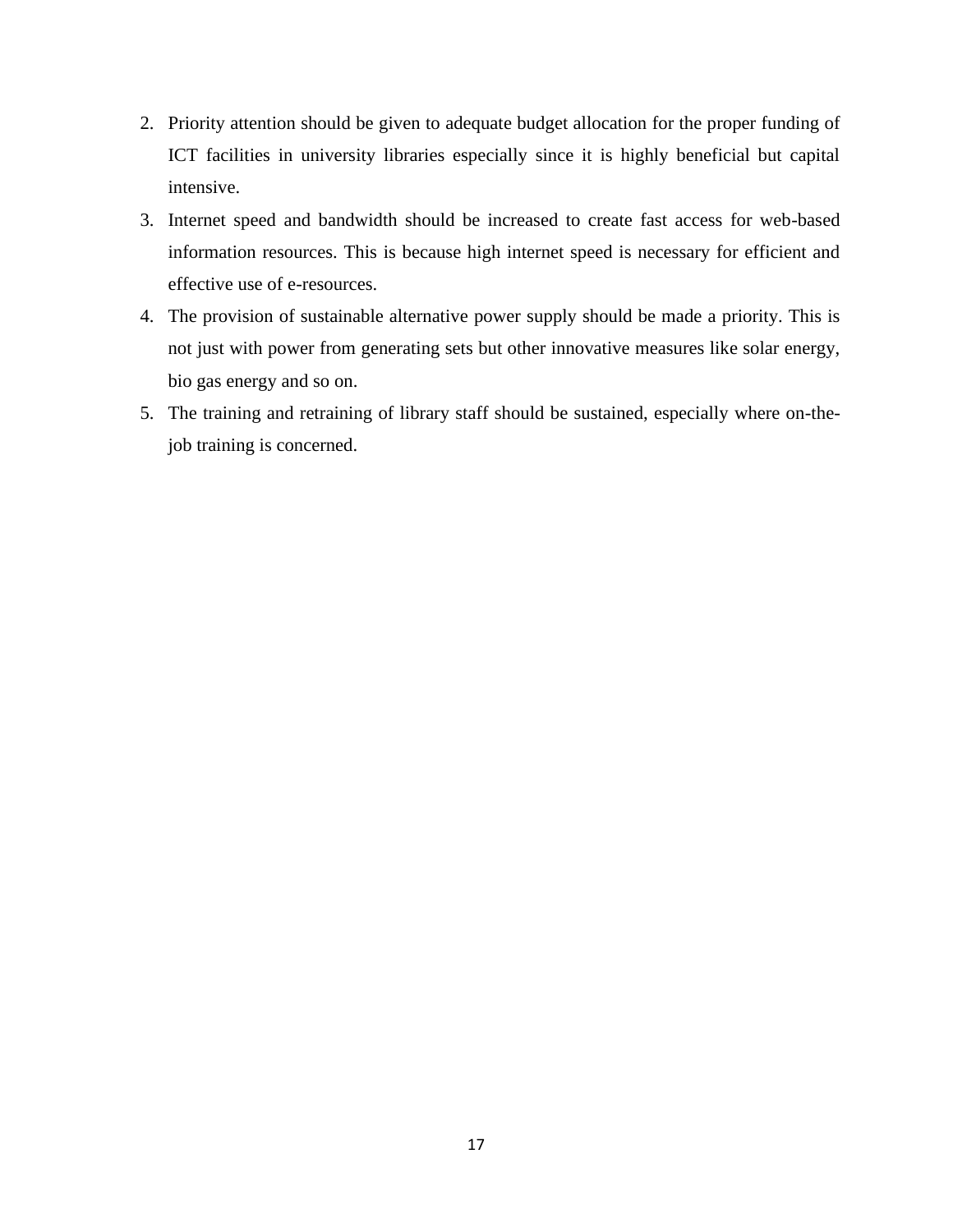- 2. Priority attention should be given to adequate budget allocation for the proper funding of ICT facilities in university libraries especially since it is highly beneficial but capital intensive.
- 3. Internet speed and bandwidth should be increased to create fast access for web-based information resources. This is because high internet speed is necessary for efficient and effective use of e-resources.
- 4. The provision of sustainable alternative power supply should be made a priority. This is not just with power from generating sets but other innovative measures like solar energy, bio gas energy and so on.
- 5. The training and retraining of library staff should be sustained, especially where on-thejob training is concerned.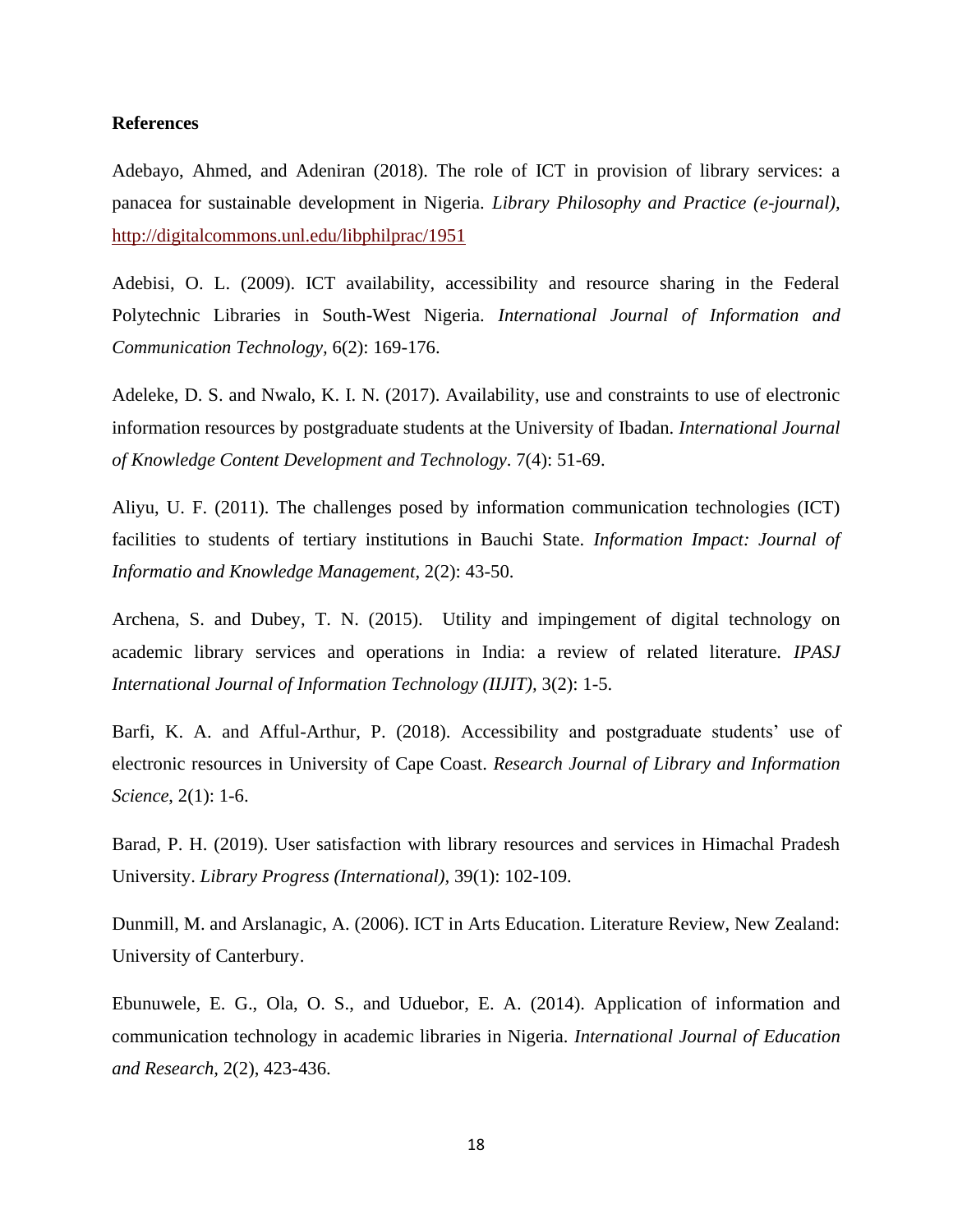### **References**

Adebayo, Ahmed, and Adeniran (2018). The role of ICT in provision of library services: a panacea for sustainable development in Nigeria. *Library Philosophy and Practice (e-journal),* <http://digitalcommons.unl.edu/libphilprac/1951>

Adebisi, O. L. (2009). ICT availability, accessibility and resource sharing in the Federal Polytechnic Libraries in South-West Nigeria. *International Journal of Information and Communication Technology,* 6(2): 169-176.

Adeleke, D. S. and Nwalo, K. I. N. (2017). Availability, use and constraints to use of electronic information resources by postgraduate students at the University of Ibadan. *International Journal of Knowledge Content Development and Technology*. 7(4): 51-69.

Aliyu, U. F. (2011). The challenges posed by information communication technologies (ICT) facilities to students of tertiary institutions in Bauchi State. *Information Impact: Journal of Informatio and Knowledge Management*, 2(2): 43-50.

Archena, S. and Dubey, T. N. (2015). Utility and impingement of digital technology on academic library services and operations in India: a review of related literature. *IPASJ International Journal of Information Technology (IIJIT),* 3(2): 1-5.

Barfi, K. A. and Afful-Arthur, P. (2018). Accessibility and postgraduate students' use of electronic resources in University of Cape Coast. *Research Journal of Library and Information Science*, 2(1): 1-6.

Barad, P. H. (2019). User satisfaction with library resources and services in Himachal Pradesh University. *Library Progress (International),* 39(1): 102-109.

Dunmill, M. and Arslanagic, A. (2006). ICT in Arts Education. Literature Review, New Zealand: University of Canterbury.

Ebunuwele, E. G., Ola, O. S., and Uduebor, E. A. (2014). Application of information and communication technology in academic libraries in Nigeria. *International Journal of Education and Research,* 2(2), 423-436.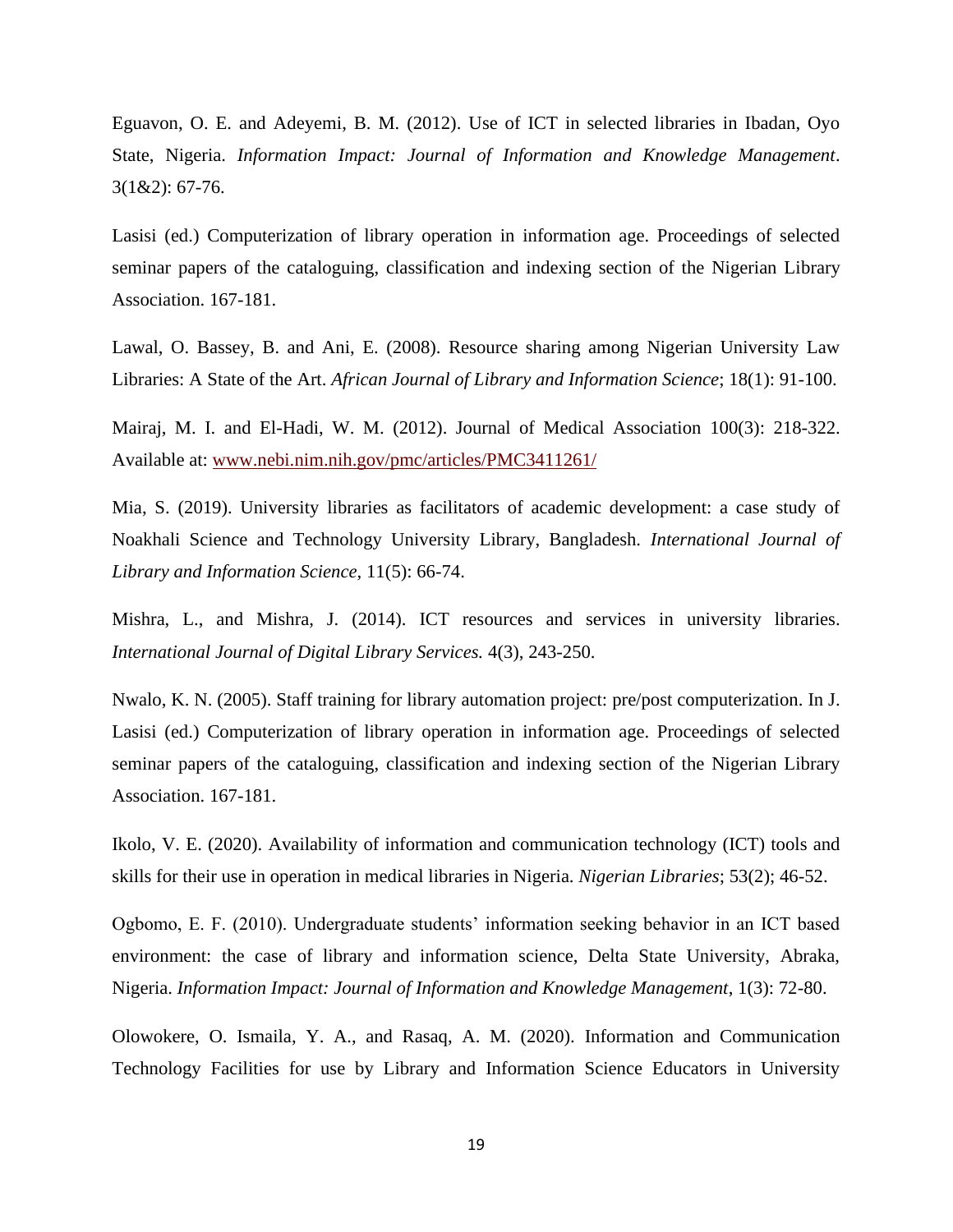Eguavon, O. E. and Adeyemi, B. M. (2012). Use of ICT in selected libraries in Ibadan, Oyo State, Nigeria. *Information Impact: Journal of Information and Knowledge Management*. 3(1&2): 67-76.

Lasisi (ed.) Computerization of library operation in information age. Proceedings of selected seminar papers of the cataloguing, classification and indexing section of the Nigerian Library Association. 167-181.

Lawal, O. Bassey, B. and Ani, E. (2008). Resource sharing among Nigerian University Law Libraries: A State of the Art. *African Journal of Library and Information Science*; 18(1): 91-100.

Mairaj, M. I. and El-Hadi, W. M. (2012). Journal of Medical Association 100(3): 218-322. Available at: [www.nebi.nim.nih.gov/pmc/articles/PMC3411261/](http://www.nebi.nim.nih.gov/pmc/articles/PMC3411261/)

Mia, S. (2019). University libraries as facilitators of academic development: a case study of Noakhali Science and Technology University Library, Bangladesh. *International Journal of Library and Information Science,* 11(5): 66-74.

Mishra, L., and Mishra, J. (2014). ICT resources and services in university libraries. *International Journal of Digital Library Services.* 4(3), 243-250.

Nwalo, K. N. (2005). Staff training for library automation project: pre/post computerization. In J. Lasisi (ed.) Computerization of library operation in information age. Proceedings of selected seminar papers of the cataloguing, classification and indexing section of the Nigerian Library Association. 167-181.

Ikolo, V. E. (2020). Availability of information and communication technology (ICT) tools and skills for their use in operation in medical libraries in Nigeria. *Nigerian Libraries*; 53(2); 46-52.

Ogbomo, E. F. (2010). Undergraduate students' information seeking behavior in an ICT based environment: the case of library and information science, Delta State University, Abraka, Nigeria. *Information Impact: Journal of Information and Knowledge Management*, 1(3): 72-80.

Olowokere, O. Ismaila, Y. A., and Rasaq, A. M. (2020). Information and Communication Technology Facilities for use by Library and Information Science Educators in University